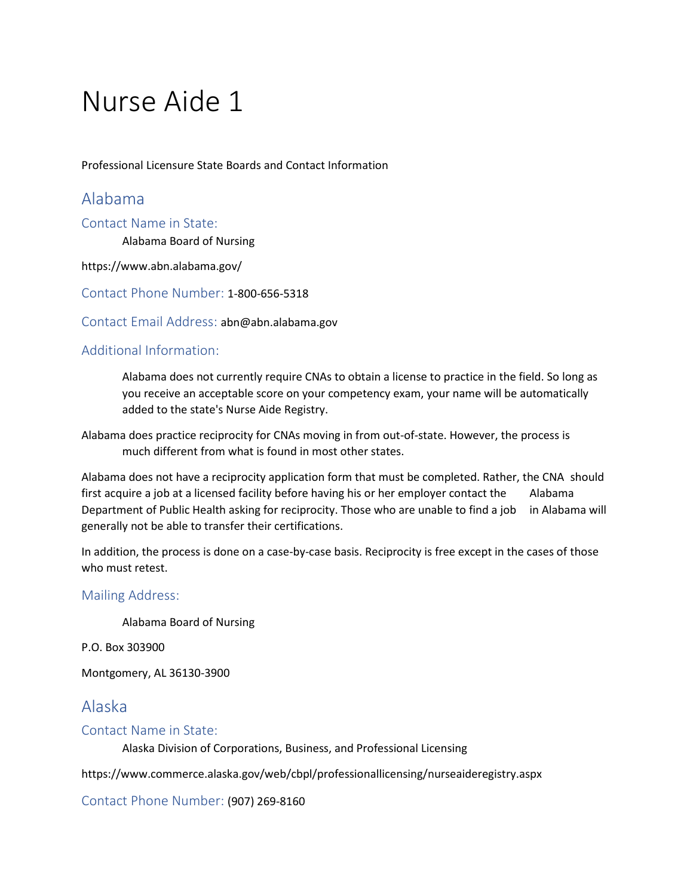# Nurse Aide 1

Professional Licensure State Boards and Contact Information

# Alabama

Contact Name in State:

Alabama Board of Nursing

https://www.abn.alabama.gov/

Contact Phone Number: 1-800-656-5318

Contact Email Address: abn@abn.alabama.gov

#### Additional Information:

Alabama does not currently require CNAs to obtain a license to practice in the field. So long as you receive an acceptable score on your competency exam, your name will be automatically added to the state's Nurse Aide Registry.

Alabama does practice reciprocity for CNAs moving in from out-of-state. However, the process is much different from what is found in most other states.

Alabama does not have a reciprocity application form that must be completed. Rather, the CNA should first acquire a job at a licensed facility before having his or her employer contact the Alabama Department of Public Health asking for reciprocity. Those who are unable to find a job in Alabama will generally not be able to transfer their certifications.

In addition, the process is done on a case-by-case basis. Reciprocity is free except in the cases of those who must retest.

#### Mailing Address:

Alabama Board of Nursing

P.O. Box 303900

Montgomery, AL 36130-3900

# Alaska

#### Contact Name in State:

Alaska Division of Corporations, Business, and Professional Licensing

https://www.commerce.alaska.gov/web/cbpl/professionallicensing/nurseaideregistry.aspx

Contact Phone Number: (907) 269-8160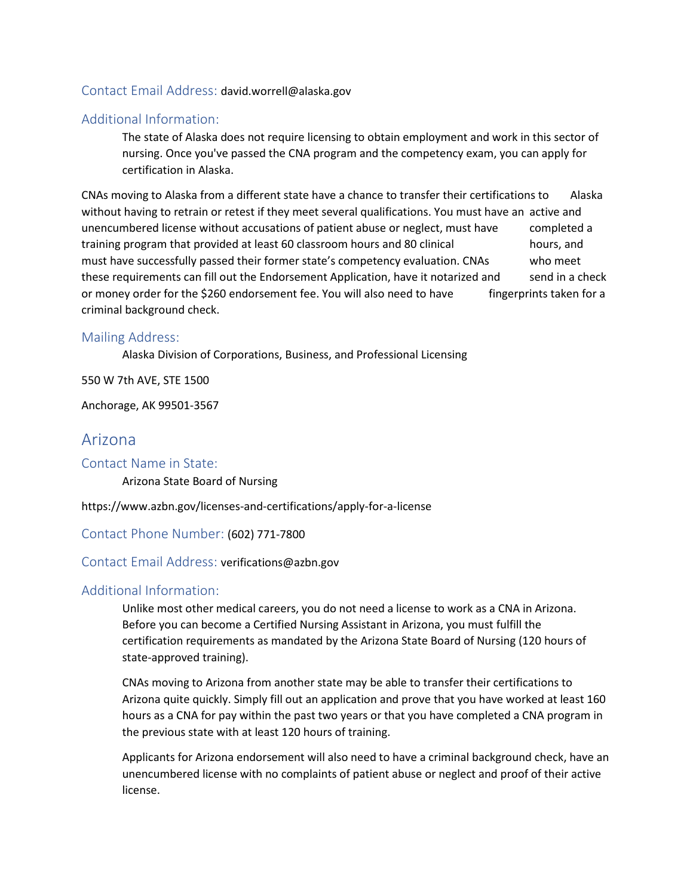#### Contact Email Address: david.worrell@alaska.gov

#### Additional Information:

The state of Alaska does not require licensing to obtain employment and work in this sector of nursing. Once you've passed the CNA program and the competency exam, you can apply for certification in Alaska.

CNAs moving to Alaska from a different state have a chance to transfer their certifications to Alaska without having to retrain or retest if they meet several qualifications. You must have an active and unencumbered license without accusations of patient abuse or neglect, must have completed a training program that provided at least 60 classroom hours and 80 clinical hours, and must have successfully passed their former state's competency evaluation. CNAs who meet these requirements can fill out the Endorsement Application, have it notarized and send in a check or money order for the \$260 endorsement fee. You will also need to have fingerprints taken for a criminal background check.

#### Mailing Address:

Alaska Division of Corporations, Business, and Professional Licensing

550 W 7th AVE, STE 1500

Anchorage, AK 99501-3567

# Arizona

Contact Name in State: Arizona State Board of Nursing

https://www.azbn.gov/licenses-and-certifications/apply-for-a-license

Contact Phone Number: (602) 771-7800

#### Contact Email Address: verifications@azbn.gov

#### Additional Information:

Unlike most other medical careers, you do not need a license to work as a CNA in Arizona. Before you can become a Certified Nursing Assistant in Arizona, you must fulfill the certification requirements as mandated by the Arizona State Board of Nursing (120 hours of state-approved training).

CNAs moving to Arizona from another state may be able to transfer their certifications to Arizona quite quickly. Simply fill out an application and prove that you have worked at least 160 hours as a CNA for pay within the past two years or that you have completed a CNA program in the previous state with at least 120 hours of training.

Applicants for Arizona endorsement will also need to have a criminal background check, have an unencumbered license with no complaints of patient abuse or neglect and proof of their active license.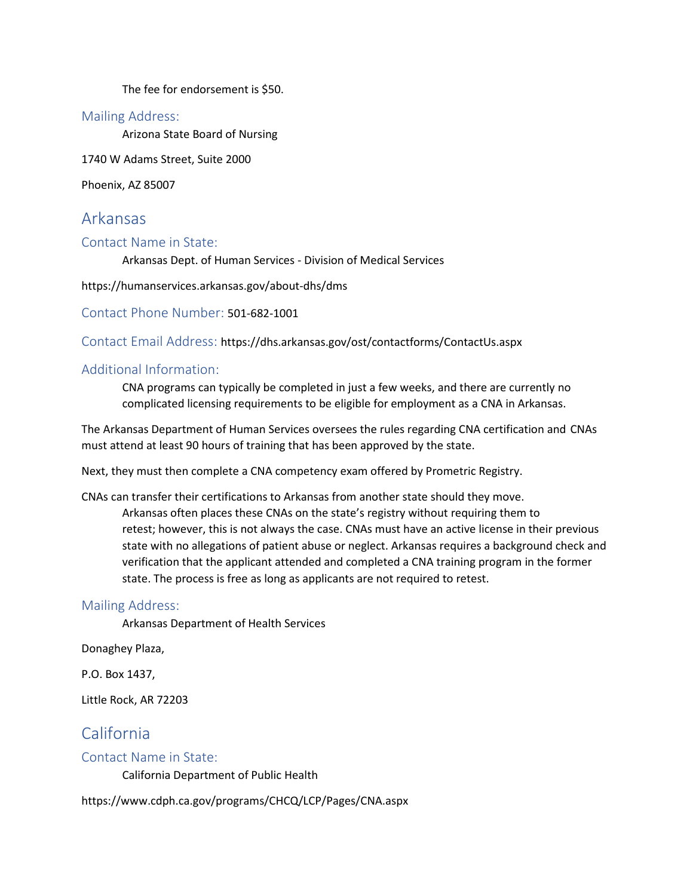The fee for endorsement is \$50.

#### Mailing Address:

Arizona State Board of Nursing

1740 W Adams Street, Suite 2000

Phoenix, AZ 85007

# Arkansas

Contact Name in State:

Arkansas Dept. of Human Services - Division of Medical Services

https://humanservices.arkansas.gov/about-dhs/dms

Contact Phone Number: 501-682-1001

Contact Email Address: https://dhs.arkansas.gov/ost/contactforms/ContactUs.aspx

### Additional Information:

CNA programs can typically be completed in just a few weeks, and there are currently no complicated licensing requirements to be eligible for employment as a CNA in Arkansas.

The Arkansas Department of Human Services oversees the rules regarding CNA certification and CNAs must attend at least 90 hours of training that has been approved by the state.

Next, they must then complete a CNA competency exam offered by Prometric Registry.

CNAs can transfer their certifications to Arkansas from another state should they move. Arkansas often places these CNAs on the state's registry without requiring them to retest; however, this is not always the case. CNAs must have an active license in their previous state with no allegations of patient abuse or neglect. Arkansas requires a background check and verification that the applicant attended and completed a CNA training program in the former state. The process is free as long as applicants are not required to retest.

#### Mailing Address:

Arkansas Department of Health Services

Donaghey Plaza,

P.O. Box 1437,

Little Rock, AR 72203

# California

#### Contact Name in State:

California Department of Public Health

https://www.cdph.ca.gov/programs/CHCQ/LCP/Pages/CNA.aspx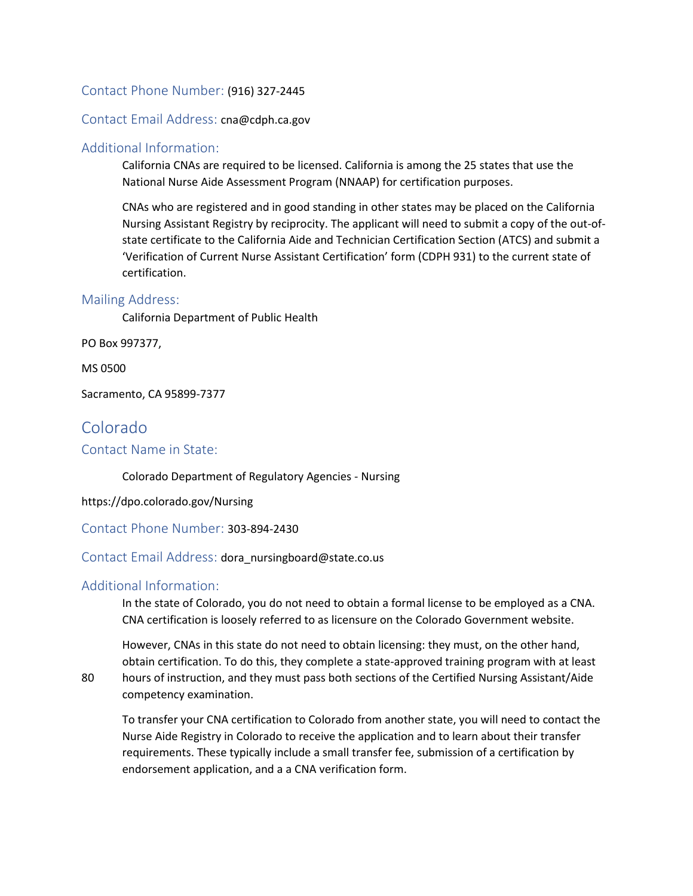#### Contact Phone Number: (916) 327-2445

Contact Email Address: cna@cdph.ca.gov

#### Additional Information:

California CNAs are required to be licensed. California is among the 25 states that use the National Nurse Aide Assessment Program (NNAAP) for certification purposes.

CNAs who are registered and in good standing in other states may be placed on the California Nursing Assistant Registry by reciprocity. The applicant will need to submit a copy of the out-ofstate certificate to the California Aide and Technician Certification Section (ATCS) and submit a 'Verification of Current Nurse Assistant Certification' form (CDPH 931) to the current state of certification.

#### Mailing Address:

California Department of Public Health

PO Box 997377,

MS 0500

Sacramento, CA 95899-7377

# Colorado

Contact Name in State:

Colorado Department of Regulatory Agencies - Nursing

https://dpo.colorado.gov/Nursing

Contact Phone Number: 303-894-2430

Contact Email Address: dora\_nursingboard@state.co.us

#### Additional Information:

In the state of Colorado, you do not need to obtain a formal license to be employed as a CNA. CNA certification is loosely referred to as licensure on the Colorado Government website.

However, CNAs in this state do not need to obtain licensing: they must, on the other hand, obtain certification. To do this, they complete a state-approved training program with at least

80 hours of instruction, and they must pass both sections of the Certified Nursing Assistant/Aide competency examination.

To transfer your CNA certification to Colorado from another state, you will need to contact the Nurse Aide Registry in Colorado to receive the application and to learn about their transfer requirements. These typically include a small transfer fee, submission of a certification by endorsement application, and a a CNA verification form.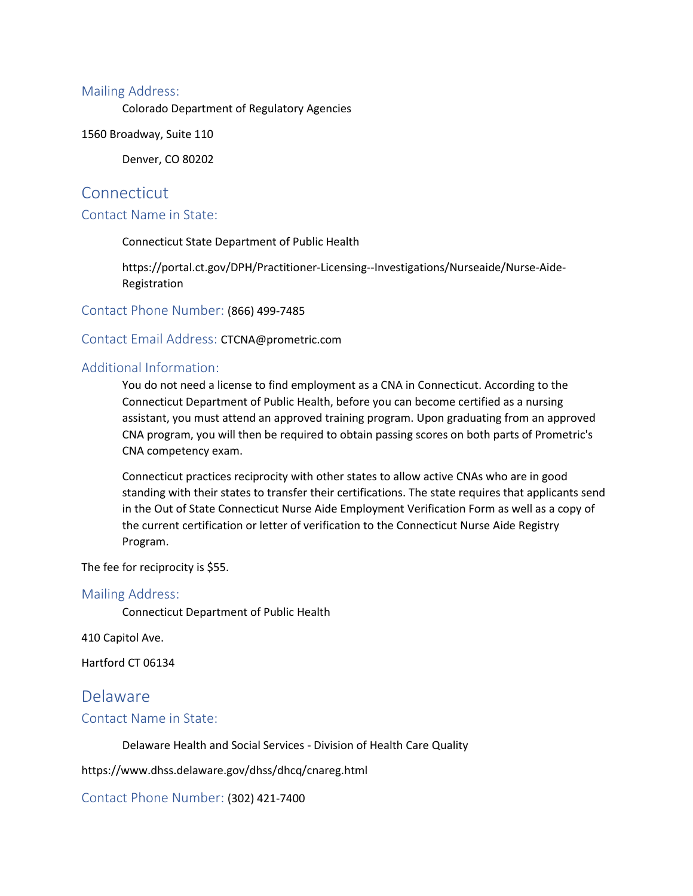#### Mailing Address:

Colorado Department of Regulatory Agencies

1560 Broadway, Suite 110

Denver, CO 80202

### **Connecticut**

#### Contact Name in State:

Connecticut State Department of Public Health

https://portal.ct.gov/DPH/Practitioner-Licensing--Investigations/Nurseaide/Nurse-Aide-Registration

Contact Phone Number: (866) 499-7485

Contact Email Address: CTCNA@prometric.com

#### Additional Information:

You do not need a license to find employment as a CNA in Connecticut. According to the Connecticut Department of Public Health, before you can become certified as a nursing assistant, you must attend an approved training program. Upon graduating from an approved CNA program, you will then be required to obtain passing scores on both parts of Prometric's CNA competency exam.

Connecticut practices reciprocity with other states to allow active CNAs who are in good standing with their states to transfer their certifications. The state requires that applicants send in the Out of State Connecticut Nurse Aide Employment Verification Form as well as a copy of the current certification or letter of verification to the Connecticut Nurse Aide Registry Program.

The fee for reciprocity is \$55.

#### Mailing Address:

Connecticut Department of Public Health

410 Capitol Ave.

Hartford CT 06134

# Delaware

#### Contact Name in State:

Delaware Health and Social Services - Division of Health Care Quality

https://www.dhss.delaware.gov/dhss/dhcq/cnareg.html

Contact Phone Number: (302) 421-7400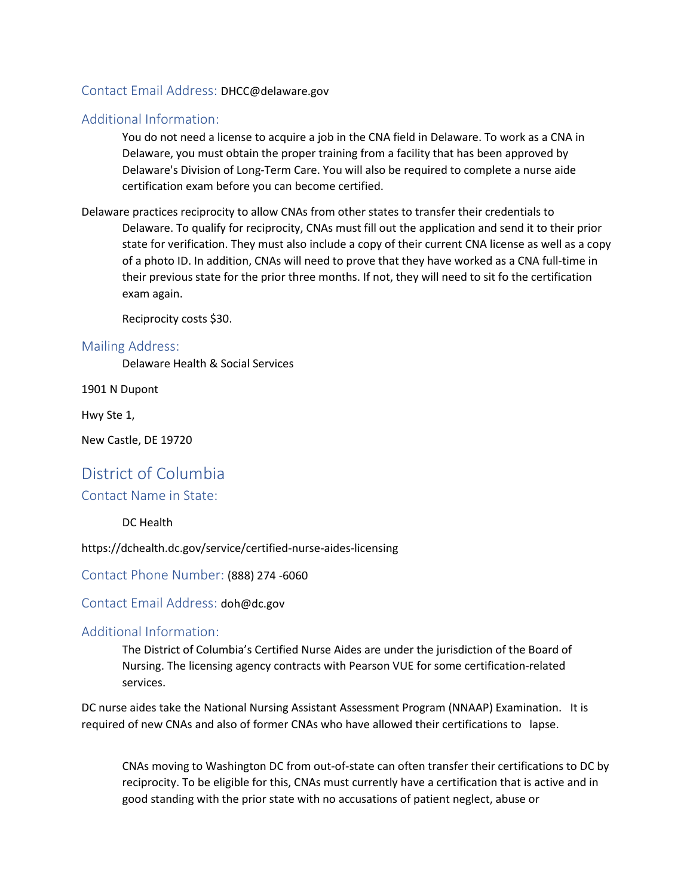#### Contact Email Address: DHCC@delaware.gov

#### Additional Information:

You do not need a license to acquire a job in the CNA field in Delaware. To work as a CNA in Delaware, you must obtain the proper training from a facility that has been approved by Delaware's Division of Long-Term Care. You will also be required to complete a nurse aide certification exam before you can become certified.

Delaware practices reciprocity to allow CNAs from other states to transfer their credentials to Delaware. To qualify for reciprocity, CNAs must fill out the application and send it to their prior state for verification. They must also include a copy of their current CNA license as well as a copy of a photo ID. In addition, CNAs will need to prove that they have worked as a CNA full-time in their previous state for the prior three months. If not, they will need to sit fo the certification exam again.

Reciprocity costs \$30.

#### Mailing Address:

Delaware Health & Social Services

1901 N Dupont

Hwy Ste 1,

New Castle, DE 19720

# District of Columbia

#### Contact Name in State:

#### DC Health

https://dchealth.dc.gov/service/certified-nurse-aides-licensing

Contact Phone Number: (888) 274 -6060

Contact Email Address: doh@dc.gov

#### Additional Information:

The District of Columbia's Certified Nurse Aides are under the jurisdiction of the Board of Nursing. The licensing agency contracts with Pearson VUE for some certification-related services.

DC nurse aides take the National Nursing Assistant Assessment Program (NNAAP) Examination. It is required of new CNAs and also of former CNAs who have allowed their certifications to lapse.

CNAs moving to Washington DC from out-of-state can often transfer their certifications to DC by reciprocity. To be eligible for this, CNAs must currently have a certification that is active and in good standing with the prior state with no accusations of patient neglect, abuse or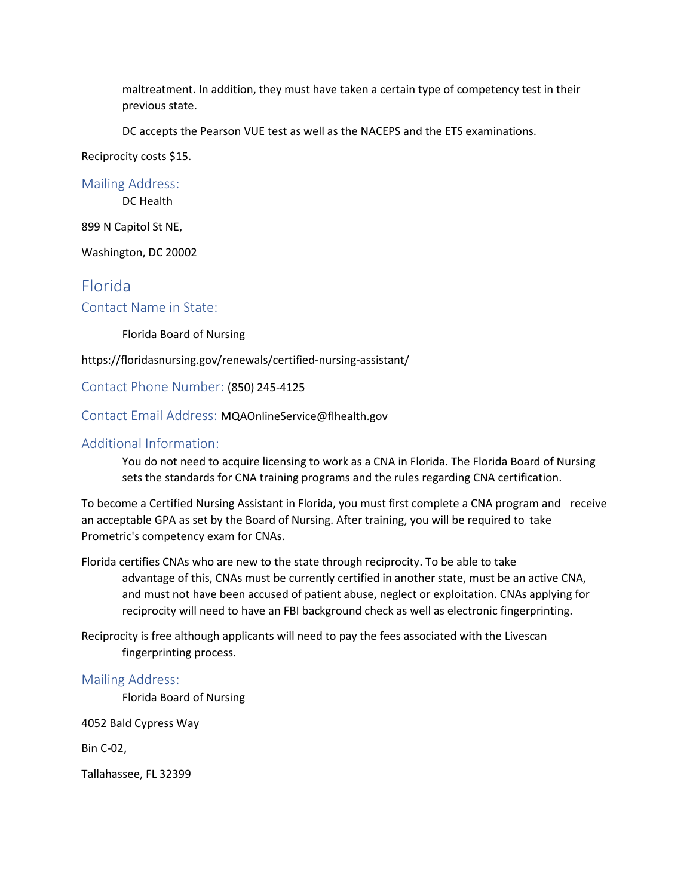maltreatment. In addition, they must have taken a certain type of competency test in their previous state.

DC accepts the Pearson VUE test as well as the NACEPS and the ETS examinations.

Reciprocity costs \$15.

Mailing Address:

DC Health

899 N Capitol St NE,

Washington, DC 20002

# Florida

Contact Name in State:

Florida Board of Nursing

https://floridasnursing.gov/renewals/certified-nursing-assistant/

Contact Phone Number: (850) 245-4125

Contact Email Address: MQAOnlineService@flhealth.gov

#### Additional Information:

You do not need to acquire licensing to work as a CNA in Florida. The Florida Board of Nursing sets the standards for CNA training programs and the rules regarding CNA certification.

To become a Certified Nursing Assistant in Florida, you must first complete a CNA program and receive an acceptable GPA as set by the Board of Nursing. After training, you will be required to take Prometric's competency exam for CNAs.

Florida certifies CNAs who are new to the state through reciprocity. To be able to take advantage of this, CNAs must be currently certified in another state, must be an active CNA, and must not have been accused of patient abuse, neglect or exploitation. CNAs applying for reciprocity will need to have an FBI background check as well as electronic fingerprinting.

Reciprocity is free although applicants will need to pay the fees associated with the Livescan fingerprinting process.

#### Mailing Address:

Florida Board of Nursing

4052 Bald Cypress Way

Bin C-02,

Tallahassee, FL 32399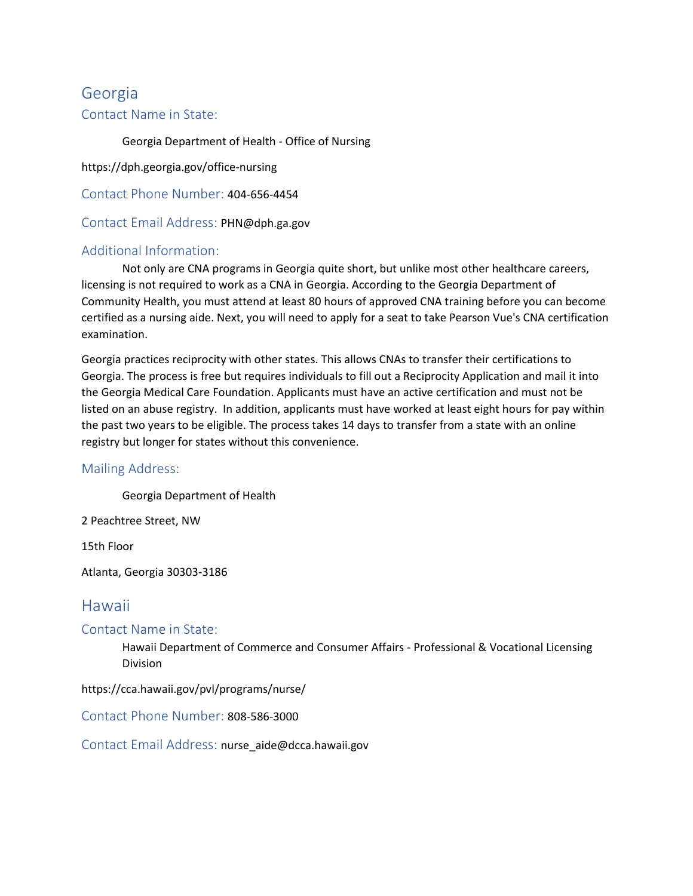# Georgia

### Contact Name in State:

Georgia Department of Health - Office of Nursing

https://dph.georgia.gov/office-nursing

Contact Phone Number: 404-656-4454

Contact Email Address: PHN@dph.ga.gov

### Additional Information:

Not only are CNA programs in Georgia quite short, but unlike most other healthcare careers, licensing is not required to work as a CNA in Georgia. According to the Georgia Department of Community Health, you must attend at least 80 hours of approved CNA training before you can become certified as a nursing aide. Next, you will need to apply for a seat to take Pearson Vue's CNA certification examination.

Georgia practices reciprocity with other states. This allows CNAs to transfer their certifications to Georgia. The process is free but requires individuals to fill out a Reciprocity Application and mail it into the Georgia Medical Care Foundation. Applicants must have an active certification and must not be listed on an abuse registry. In addition, applicants must have worked at least eight hours for pay within the past two years to be eligible. The process takes 14 days to transfer from a state with an online registry but longer for states without this convenience.

#### Mailing Address:

Georgia Department of Health

2 Peachtree Street, NW

15th Floor

Atlanta, Georgia 30303-3186

# Hawaii

Contact Name in State:

Hawaii Department of Commerce and Consumer Affairs - Professional & Vocational Licensing Division

https://cca.hawaii.gov/pvl/programs/nurse/

Contact Phone Number: 808-586-3000

Contact Email Address: nurse\_aide@dcca.hawaii.gov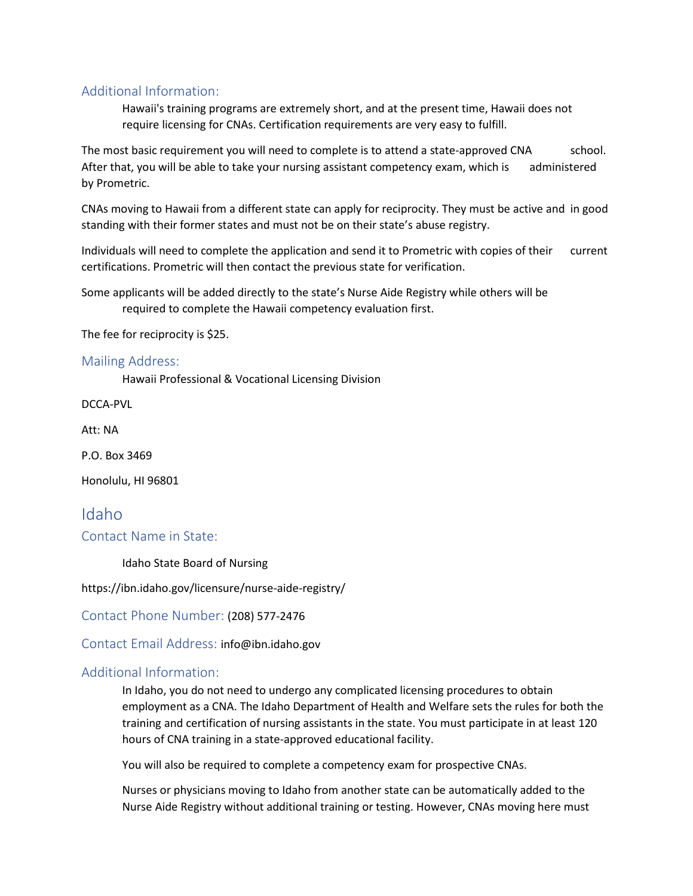### Additional Information:

Hawaii's training programs are extremely short, and at the present time, Hawaii does not require licensing for CNAs. Certification requirements are very easy to fulfill.

The most basic requirement you will need to complete is to attend a state-approved CNA school. After that, you will be able to take your nursing assistant competency exam, which is administered by Prometric.

CNAs moving to Hawaii from a different state can apply for reciprocity. They must be active and in good standing with their former states and must not be on their state's abuse registry.

Individuals will need to complete the application and send it to Prometric with copies of their current certifications. Prometric will then contact the previous state for verification.

Some applicants will be added directly to the state's Nurse Aide Registry while others will be required to complete the Hawaii competency evaluation first.

The fee for reciprocity is \$25.

#### Mailing Address:

Hawaii Professional & Vocational Licensing Division

DCCA-PVL

Att: NA

P.O. Box 3469

Honolulu, HI 96801

# Idaho Contact Name in State:

Idaho State Board of Nursing

https://ibn.idaho.gov/licensure/nurse-aide-registry/

Contact Phone Number: (208) 577-2476

Contact Email Address: info@ibn.idaho.gov

#### Additional Information:

In Idaho, you do not need to undergo any complicated licensing procedures to obtain employment as a CNA. The Idaho Department of Health and Welfare sets the rules for both the training and certification of nursing assistants in the state. You must participate in at least 120 hours of CNA training in a state-approved educational facility.

You will also be required to complete a competency exam for prospective CNAs.

Nurses or physicians moving to Idaho from another state can be automatically added to the Nurse Aide Registry without additional training or testing. However, CNAs moving here must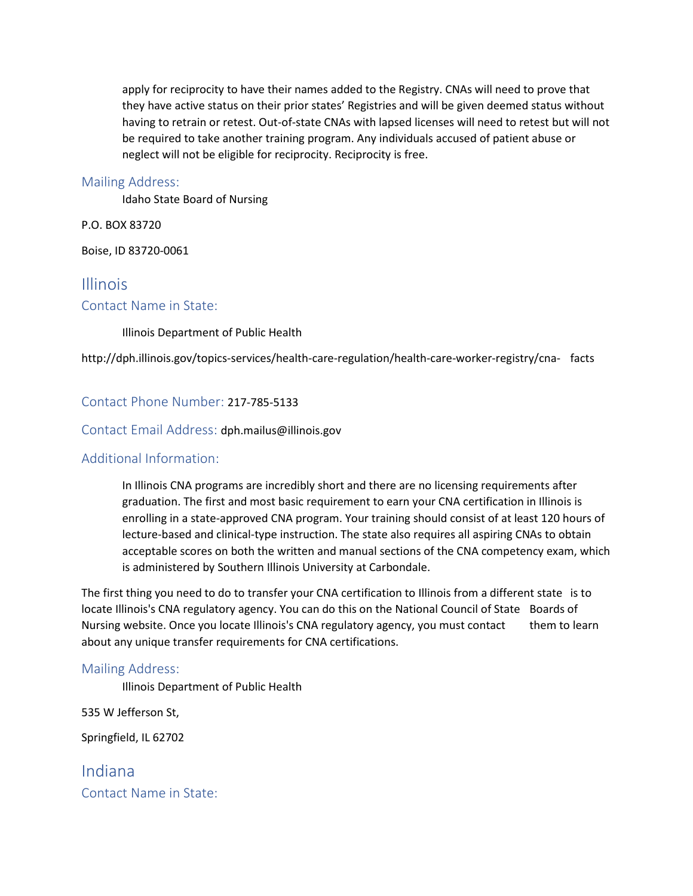apply for reciprocity to have their names added to the Registry. CNAs will need to prove that they have active status on their prior states' Registries and will be given deemed status without having to retrain or retest. Out-of-state CNAs with lapsed licenses will need to retest but will not be required to take another training program. Any individuals accused of patient abuse or neglect will not be eligible for reciprocity. Reciprocity is free.

#### Mailing Address:

Idaho State Board of Nursing

P.O. BOX 83720

Boise, ID 83720-0061

# Illinois

#### Contact Name in State:

Illinois Department of Public Health

http://dph.illinois.gov/topics-services/health-care-regulation/health-care-worker-registry/cna- facts

#### Contact Phone Number: 217-785-5133

#### Contact Email Address: dph.mailus@illinois.gov

#### Additional Information:

In Illinois CNA programs are incredibly short and there are no licensing requirements after graduation. The first and most basic requirement to earn your CNA certification in Illinois is enrolling in a state-approved CNA program. Your training should consist of at least 120 hours of lecture-based and clinical-type instruction. The state also requires all aspiring CNAs to obtain acceptable scores on both the written and manual sections of the CNA competency exam, which is administered by Southern Illinois University at Carbondale.

The first thing you need to do to transfer your CNA certification to Illinois from a different state is to locate Illinois's CNA regulatory agency. You can do this on the National Council of State Boards of Nursing website. Once you locate Illinois's CNA regulatory agency, you must contact them to learn about any unique transfer requirements for CNA certifications.

#### Mailing Address:

Illinois Department of Public Health

535 W Jefferson St,

Springfield, IL 62702

Indiana Contact Name in State: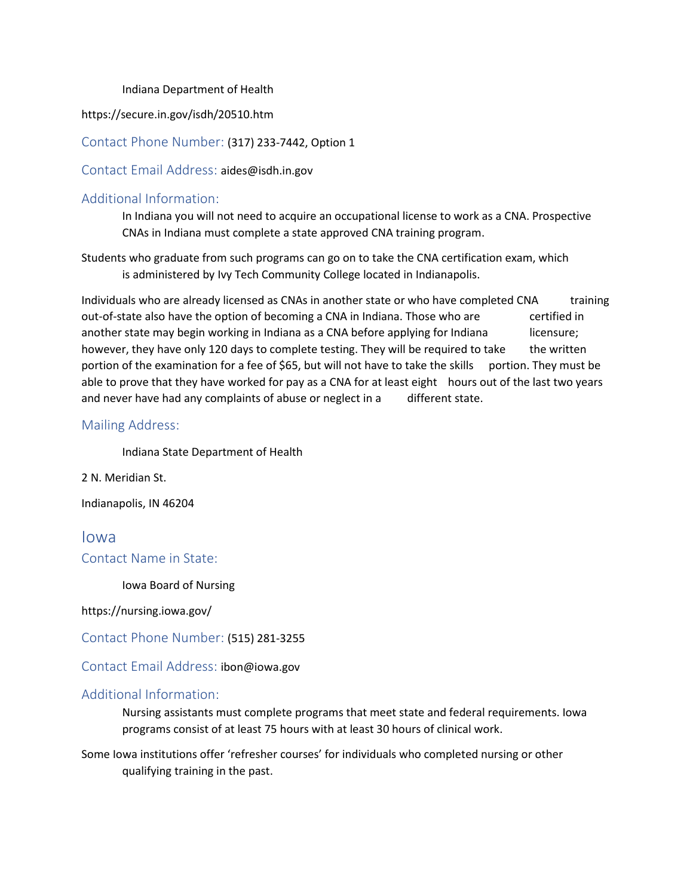#### Indiana Department of Health

https://secure.in.gov/isdh/20510.htm

Contact Phone Number: (317) 233-7442, Option 1

Contact Email Address: aides@isdh.in.gov

### Additional Information:

In Indiana you will not need to acquire an occupational license to work as a CNA. Prospective CNAs in Indiana must complete a state approved CNA training program.

Students who graduate from such programs can go on to take the CNA certification exam, which is administered by Ivy Tech Community College located in Indianapolis.

Individuals who are already licensed as CNAs in another state or who have completed CNA training out-of-state also have the option of becoming a CNA in Indiana. Those who are certified in another state may begin working in Indiana as a CNA before applying for Indiana licensure; however, they have only 120 days to complete testing. They will be required to take the written portion of the examination for a fee of \$65, but will not have to take the skills portion. They must be able to prove that they have worked for pay as a CNA for at least eight hours out of the last two years and never have had any complaints of abuse or neglect in a different state.

#### Mailing Address:

Indiana State Department of Health

2 N. Meridian St.

Indianapolis, IN 46204

Iowa Contact Name in State:

Iowa Board of Nursing

https://nursing.iowa.gov/

Contact Phone Number: (515) 281-3255

Contact Email Address: ibon@iowa.gov

#### Additional Information:

Nursing assistants must complete programs that meet state and federal requirements. Iowa programs consist of at least 75 hours with at least 30 hours of clinical work.

Some Iowa institutions offer 'refresher courses' for individuals who completed nursing or other qualifying training in the past.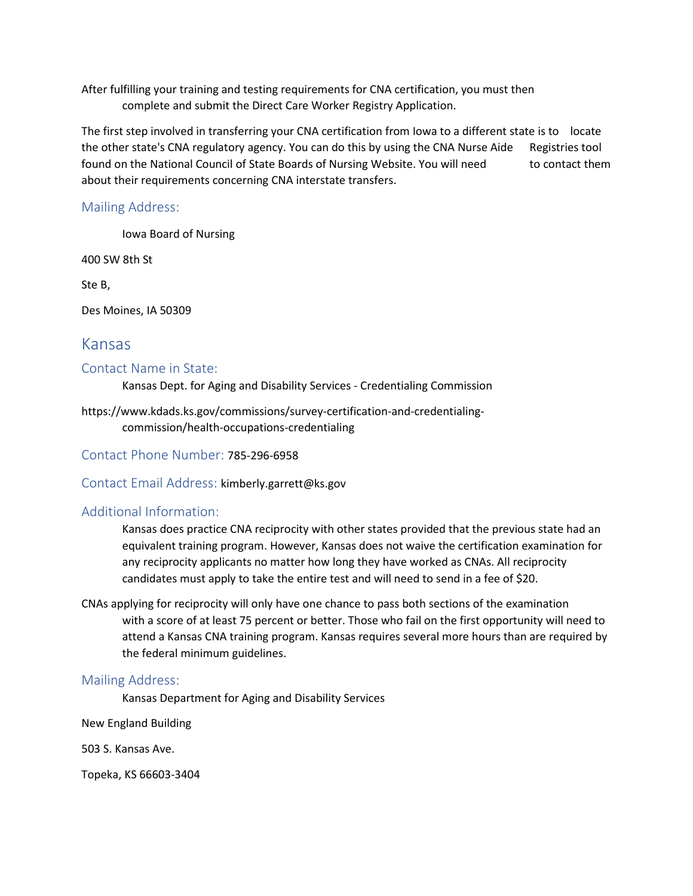After fulfilling your training and testing requirements for CNA certification, you must then complete and submit the Direct Care Worker Registry Application.

The first step involved in transferring your CNA certification from Iowa to a different state is to locate the other state's CNA regulatory agency. You can do this by using the CNA Nurse Aide Registries tool found on the National Council of State Boards of Nursing Website. You will need to contact them about their requirements concerning CNA interstate transfers.

#### Mailing Address:

Iowa Board of Nursing

400 SW 8th St

Ste B,

Des Moines, IA 50309

### Kansas

#### Contact Name in State:

Kansas Dept. for Aging and Disability Services - Credentialing Commission

https://www.kdads.ks.gov/commissions/survey-certification-and-credentialingcommission/health-occupations-credentialing

Contact Phone Number: 785-296-6958

Contact Email Address: kimberly.garrett@ks.gov

#### Additional Information:

Kansas does practice CNA reciprocity with other states provided that the previous state had an equivalent training program. However, Kansas does not waive the certification examination for any reciprocity applicants no matter how long they have worked as CNAs. All reciprocity candidates must apply to take the entire test and will need to send in a fee of \$20.

CNAs applying for reciprocity will only have one chance to pass both sections of the examination with a score of at least 75 percent or better. Those who fail on the first opportunity will need to attend a Kansas CNA training program. Kansas requires several more hours than are required by the federal minimum guidelines.

#### Mailing Address:

Kansas Department for Aging and Disability Services

New England Building

503 S. Kansas Ave.

Topeka, KS 66603-3404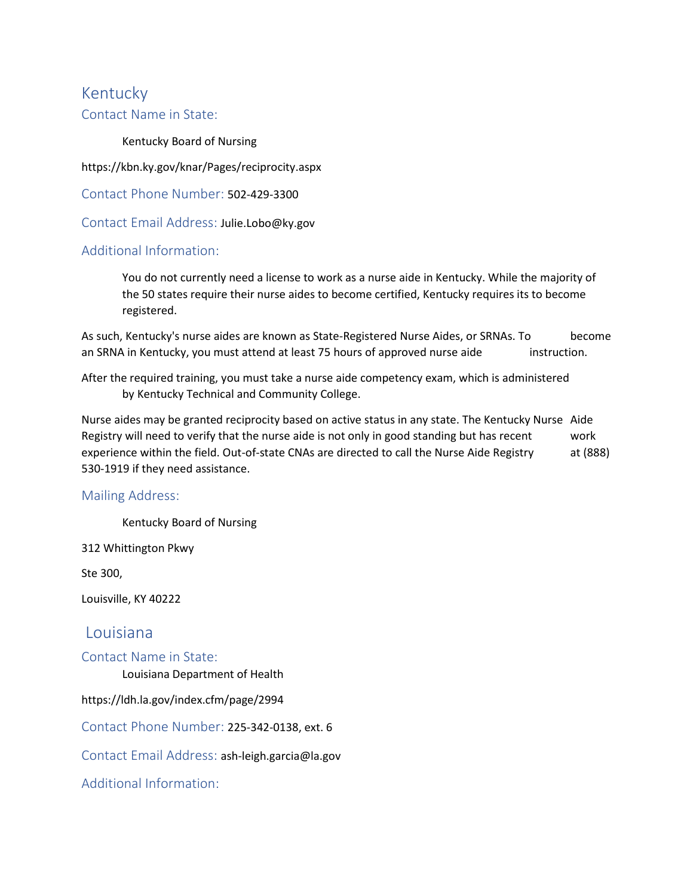# Kentucky

#### Contact Name in State:

Kentucky Board of Nursing

https://kbn.ky.gov/knar/Pages/reciprocity.aspx

Contact Phone Number: 502-429-3300

Contact Email Address: Julie.Lobo@ky.gov

### Additional Information:

You do not currently need a license to work as a nurse aide in Kentucky. While the majority of the 50 states require their nurse aides to become certified, Kentucky requires its to become registered.

As such, Kentucky's nurse aides are known as State-Registered Nurse Aides, or SRNAs. To become an SRNA in Kentucky, you must attend at least 75 hours of approved nurse aide instruction.

After the required training, you must take a nurse aide competency exam, which is administered by Kentucky Technical and Community College.

Nurse aides may be granted reciprocity based on active status in any state. The Kentucky Nurse Aide Registry will need to verify that the nurse aide is not only in good standing but has recent work experience within the field. Out-of-state CNAs are directed to call the Nurse Aide Registry at (888) 530-1919 if they need assistance.

#### Mailing Address:

Kentucky Board of Nursing

312 Whittington Pkwy

Ste 300,

Louisville, KY 40222

### Louisiana

#### Contact Name in State:

Louisiana Department of Health

https://ldh.la.gov/index.cfm/page/2994

Contact Phone Number: 225-342-0138, ext. 6

Contact Email Address: ash-leigh.garcia@la.gov

Additional Information: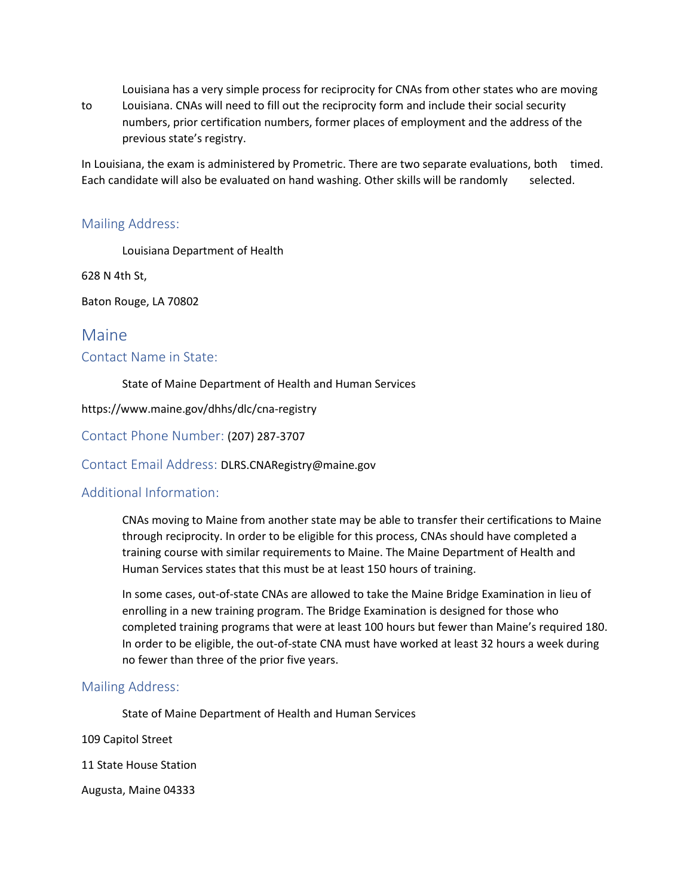Louisiana has a very simple process for reciprocity for CNAs from other states who are moving

to Louisiana. CNAs will need to fill out the reciprocity form and include their social security numbers, prior certification numbers, former places of employment and the address of the previous state's registry.

In Louisiana, the exam is administered by Prometric. There are two separate evaluations, both timed. Each candidate will also be evaluated on hand washing. Other skills will be randomly selected.

#### Mailing Address:

Louisiana Department of Health

628 N 4th St,

Baton Rouge, LA 70802

### Maine

#### Contact Name in State:

State of Maine Department of Health and Human Services

https://www.maine.gov/dhhs/dlc/cna-registry

Contact Phone Number: (207) 287-3707

Contact Email Address: DLRS.CNARegistry@maine.gov

#### Additional Information:

CNAs moving to Maine from another state may be able to transfer their certifications to Maine through reciprocity. In order to be eligible for this process, CNAs should have completed a training course with similar requirements to Maine. The Maine Department of Health and Human Services states that this must be at least 150 hours of training.

In some cases, out-of-state CNAs are allowed to take the Maine Bridge Examination in lieu of enrolling in a new training program. The Bridge Examination is designed for those who completed training programs that were at least 100 hours but fewer than Maine's required 180. In order to be eligible, the out-of-state CNA must have worked at least 32 hours a week during no fewer than three of the prior five years.

#### Mailing Address:

State of Maine Department of Health and Human Services

109 Capitol Street

11 State House Station

Augusta, Maine 04333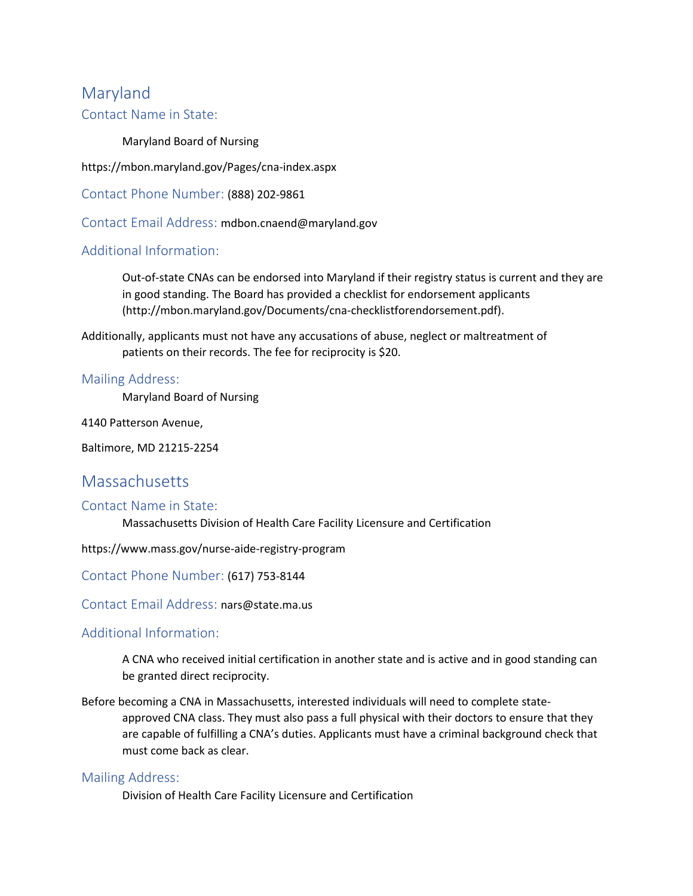# Maryland

### Contact Name in State:

Maryland Board of Nursing

https://mbon.maryland.gov/Pages/cna-index.aspx

Contact Phone Number: (888) 202-9861

Contact Email Address: mdbon.cnaend@maryland.gov

### Additional Information:

Out-of-state CNAs can be endorsed into Maryland if their registry status is current and they are in good standing. The Board has provided a checklist for endorsement applicants (http://mbon.maryland.gov/Documents/cna-checklistforendorsement.pdf).

Additionally, applicants must not have any accusations of abuse, neglect or maltreatment of patients on their records. The fee for reciprocity is \$20.

#### Mailing Address:

Maryland Board of Nursing

4140 Patterson Avenue,

Baltimore, MD 21215-2254

# **Massachusetts**

#### Contact Name in State:

Massachusetts Division of Health Care Facility Licensure and Certification

https://www.mass.gov/nurse-aide-registry-program

#### Contact Phone Number: (617) 753-8144

Contact Email Address: nars@state.ma.us

#### Additional Information:

A CNA who received initial certification in another state and is active and in good standing can be granted direct reciprocity.

Before becoming a CNA in Massachusetts, interested individuals will need to complete stateapproved CNA class. They must also pass a full physical with their doctors to ensure that they are capable of fulfilling a CNA's duties. Applicants must have a criminal background check that must come back as clear.

#### Mailing Address:

Division of Health Care Facility Licensure and Certification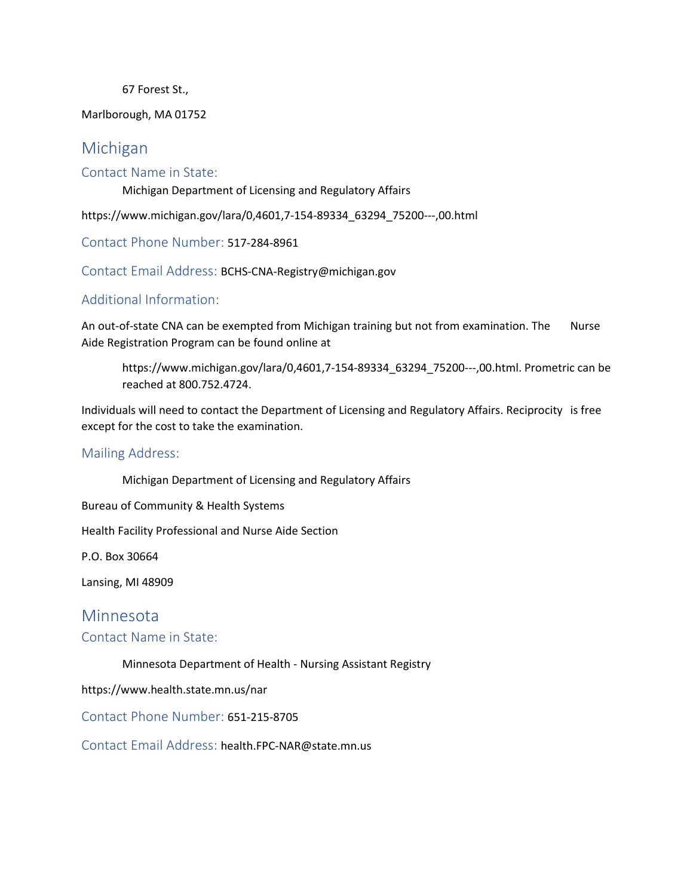67 Forest St.,

Marlborough, MA 01752

# Michigan

#### Contact Name in State:

Michigan Department of Licensing and Regulatory Affairs

https://www.michigan.gov/lara/0,4601,7-154-89334\_63294\_75200---,00.html

Contact Phone Number: 517-284-8961

Contact Email Address: BCHS-CNA-Registry@michigan.gov

### Additional Information:

An out-of-state CNA can be exempted from Michigan training but not from examination. The Nurse Aide Registration Program can be found online at

https://www.michigan.gov/lara/0,4601,7-154-89334\_63294\_75200---,00.html. Prometric can be reached at 800.752.4724.

Individuals will need to contact the Department of Licensing and Regulatory Affairs. Reciprocity is free except for the cost to take the examination.

#### Mailing Address:

Michigan Department of Licensing and Regulatory Affairs

Bureau of Community & Health Systems

Health Facility Professional and Nurse Aide Section

P.O. Box 30664

Lansing, MI 48909

### Minnesota

#### Contact Name in State:

Minnesota Department of Health - Nursing Assistant Registry

https://www.health.state.mn.us/nar

Contact Phone Number: 651-215-8705

Contact Email Address: health.FPC-NAR@state.mn.us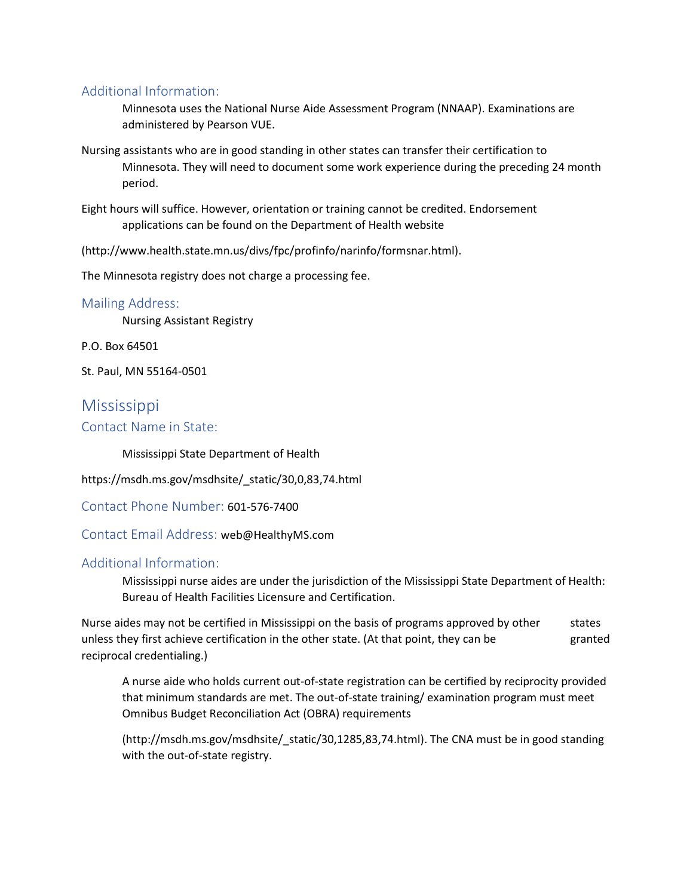### Additional Information:

Minnesota uses the National Nurse Aide Assessment Program (NNAAP). Examinations are administered by Pearson VUE.

Nursing assistants who are in good standing in other states can transfer their certification to Minnesota. They will need to document some work experience during the preceding 24 month period.

Eight hours will suffice. However, orientation or training cannot be credited. Endorsement applications can be found on the Department of Health website

(http://www.health.state.mn.us/divs/fpc/profinfo/narinfo/formsnar.html).

The Minnesota registry does not charge a processing fee.

#### Mailing Address:

Nursing Assistant Registry

P.O. Box 64501

St. Paul, MN 55164-0501

# Mississippi Contact Name in State:

Mississippi State Department of Health

https://msdh.ms.gov/msdhsite/\_static/30,0,83,74.html

Contact Phone Number: 601-576-7400

Contact Email Address: web@HealthyMS.com

### Additional Information:

Mississippi nurse aides are under the jurisdiction of the Mississippi State Department of Health: Bureau of Health Facilities Licensure and Certification.

Nurse aides may not be certified in Mississippi on the basis of programs approved by other states unless they first achieve certification in the other state. (At that point, they can be granted reciprocal credentialing.)

A nurse aide who holds current out-of-state registration can be certified by reciprocity provided that minimum standards are met. The out-of-state training/ examination program must meet Omnibus Budget Reconciliation Act (OBRA) requirements

(http://msdh.ms.gov/msdhsite/\_static/30,1285,83,74.html). The CNA must be in good standing with the out-of-state registry.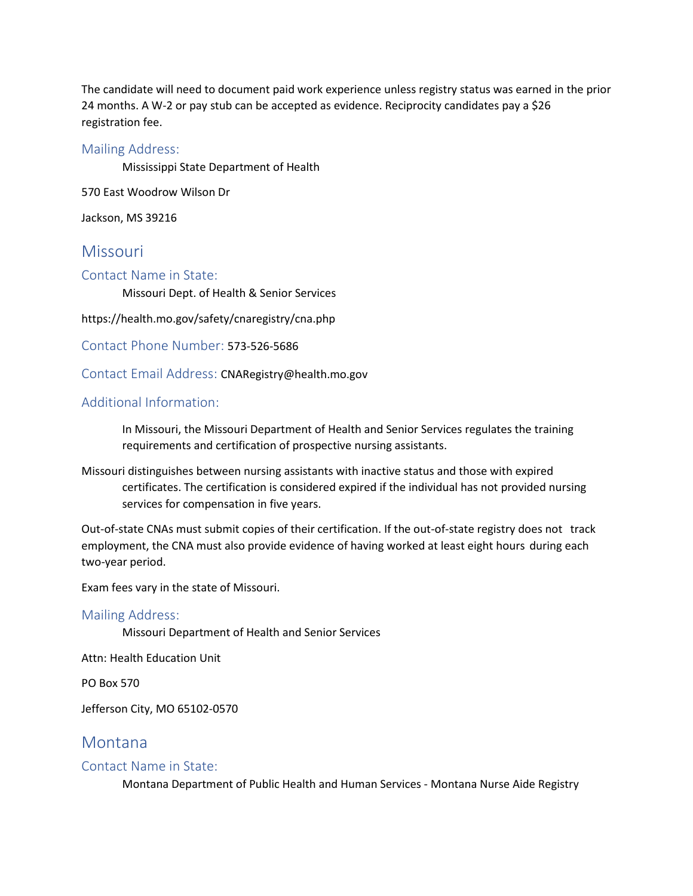The candidate will need to document paid work experience unless registry status was earned in the prior 24 months. A W-2 or pay stub can be accepted as evidence. Reciprocity candidates pay a \$26 registration fee.

#### Mailing Address:

Mississippi State Department of Health

570 East Woodrow Wilson Dr

Jackson, MS 39216

### **Missouri**

#### Contact Name in State:

Missouri Dept. of Health & Senior Services

https://health.mo.gov/safety/cnaregistry/cna.php

Contact Phone Number: 573-526-5686

Contact Email Address: CNARegistry@health.mo.gov

#### Additional Information:

In Missouri, the Missouri Department of Health and Senior Services regulates the training requirements and certification of prospective nursing assistants.

Missouri distinguishes between nursing assistants with inactive status and those with expired certificates. The certification is considered expired if the individual has not provided nursing services for compensation in five years.

Out-of-state CNAs must submit copies of their certification. If the out-of-state registry does not track employment, the CNA must also provide evidence of having worked at least eight hours during each two-year period.

Exam fees vary in the state of Missouri.

#### Mailing Address:

Missouri Department of Health and Senior Services

Attn: Health Education Unit

PO Box 570

Jefferson City, MO 65102-0570

### Montana

#### Contact Name in State:

Montana Department of Public Health and Human Services - Montana Nurse Aide Registry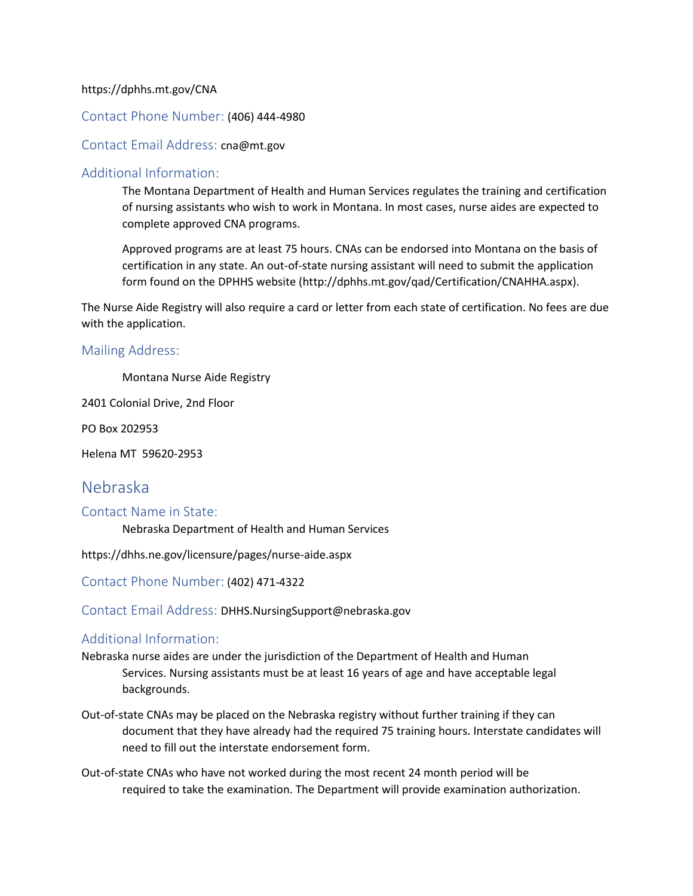#### https://dphhs.mt.gov/CNA

#### Contact Phone Number: (406) 444-4980

#### Contact Email Address: cna@mt.gov

#### Additional Information:

The Montana Department of Health and Human Services regulates the training and certification of nursing assistants who wish to work in Montana. In most cases, nurse aides are expected to complete approved CNA programs.

Approved programs are at least 75 hours. CNAs can be endorsed into Montana on the basis of certification in any state. An out-of-state nursing assistant will need to submit the application form found on the DPHHS website (http://dphhs.mt.gov/qad/Certification/CNAHHA.aspx).

The Nurse Aide Registry will also require a card or letter from each state of certification. No fees are due with the application.

#### Mailing Address:

Montana Nurse Aide Registry

2401 Colonial Drive, 2nd Floor

PO Box 202953

Helena MT 59620-2953

# Nebraska

#### Contact Name in State:

Nebraska Department of Health and Human Services

https://dhhs.ne.gov/licensure/pages/nurse-aide.aspx

Contact Phone Number: (402) 471-4322

Contact Email Address: DHHS.NursingSupport@nebraska.gov

#### Additional Information:

Nebraska nurse aides are under the jurisdiction of the Department of Health and Human Services. Nursing assistants must be at least 16 years of age and have acceptable legal backgrounds.

Out-of-state CNAs may be placed on the Nebraska registry without further training if they can document that they have already had the required 75 training hours. Interstate candidates will need to fill out the interstate endorsement form.

Out-of-state CNAs who have not worked during the most recent 24 month period will be required to take the examination. The Department will provide examination authorization.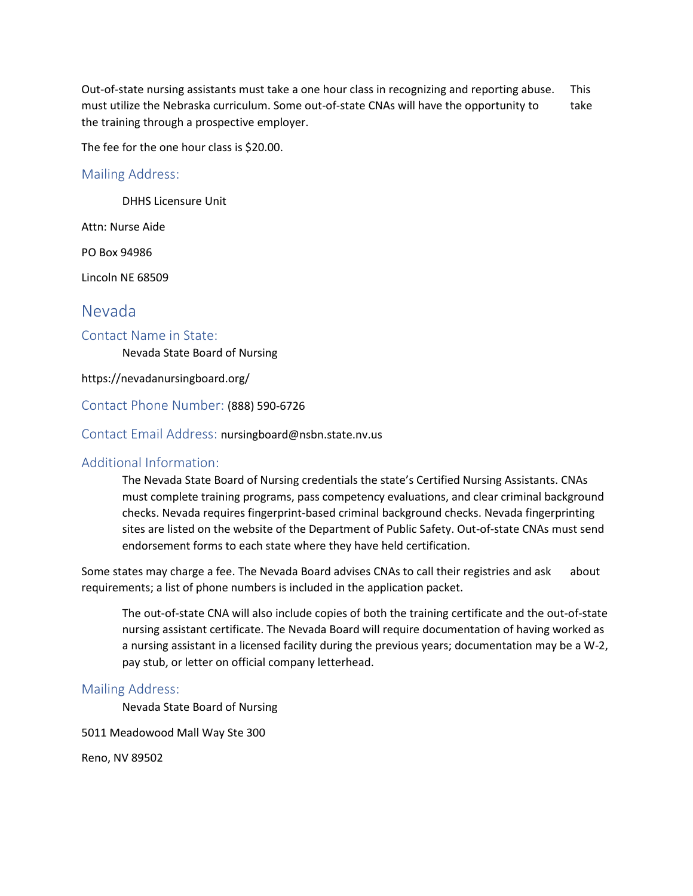Out-of-state nursing assistants must take a one hour class in recognizing and reporting abuse. This must utilize the Nebraska curriculum. Some out-of-state CNAs will have the opportunity to take the training through a prospective employer.

The fee for the one hour class is \$20.00.

#### Mailing Address:

DHHS Licensure Unit

Attn: Nurse Aide

PO Box 94986

Lincoln NE 68509

# Nevada

#### Contact Name in State:

Nevada State Board of Nursing

https://nevadanursingboard.org/

#### Contact Phone Number: (888) 590-6726

#### Contact Email Address: nursingboard@nsbn.state.nv.us

#### Additional Information:

The Nevada State Board of Nursing credentials the state's Certified Nursing Assistants. CNAs must complete training programs, pass competency evaluations, and clear criminal background checks. Nevada requires fingerprint-based criminal background checks. Nevada fingerprinting sites are listed on the website of the Department of Public Safety. Out-of-state CNAs must send endorsement forms to each state where they have held certification.

Some states may charge a fee. The Nevada Board advises CNAs to call their registries and ask about requirements; a list of phone numbers is included in the application packet.

The out-of-state CNA will also include copies of both the training certificate and the out-of-state nursing assistant certificate. The Nevada Board will require documentation of having worked as a nursing assistant in a licensed facility during the previous years; documentation may be a W-2, pay stub, or letter on official company letterhead.

#### Mailing Address:

Nevada State Board of Nursing

5011 Meadowood Mall Way Ste 300

Reno, NV 89502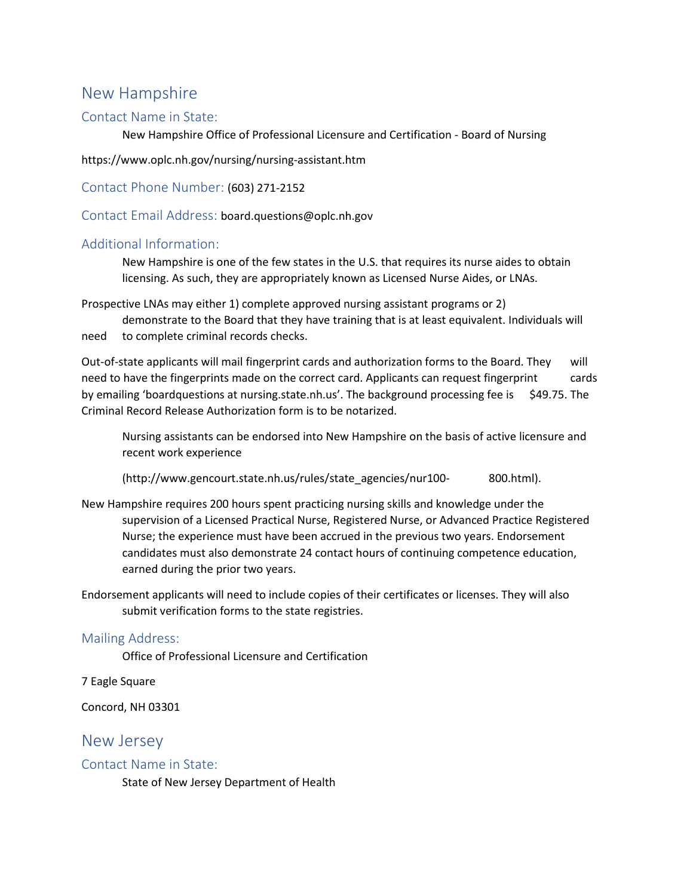# New Hampshire

#### Contact Name in State:

New Hampshire Office of Professional Licensure and Certification - Board of Nursing

https://www.oplc.nh.gov/nursing/nursing-assistant.htm

Contact Phone Number: (603) 271-2152

Contact Email Address: board.questions@oplc.nh.gov

#### Additional Information:

New Hampshire is one of the few states in the U.S. that requires its nurse aides to obtain licensing. As such, they are appropriately known as Licensed Nurse Aides, or LNAs.

Prospective LNAs may either 1) complete approved nursing assistant programs or 2) demonstrate to the Board that they have training that is at least equivalent. Individuals will

need to complete criminal records checks.

Out-of-state applicants will mail fingerprint cards and authorization forms to the Board. They will need to have the fingerprints made on the correct card. Applicants can request fingerprint cards by emailing 'boardquestions at nursing.state.nh.us'. The background processing fee is \$49.75. The Criminal Record Release Authorization form is to be notarized.

Nursing assistants can be endorsed into New Hampshire on the basis of active licensure and recent work experience

(http://www.gencourt.state.nh.us/rules/state\_agencies/nur100- 800.html).

New Hampshire requires 200 hours spent practicing nursing skills and knowledge under the supervision of a Licensed Practical Nurse, Registered Nurse, or Advanced Practice Registered Nurse; the experience must have been accrued in the previous two years. Endorsement candidates must also demonstrate 24 contact hours of continuing competence education, earned during the prior two years.

Endorsement applicants will need to include copies of their certificates or licenses. They will also submit verification forms to the state registries.

#### Mailing Address:

Office of Professional Licensure and Certification

7 Eagle Square

Concord, NH 03301

### New Jersey

#### Contact Name in State:

State of New Jersey Department of Health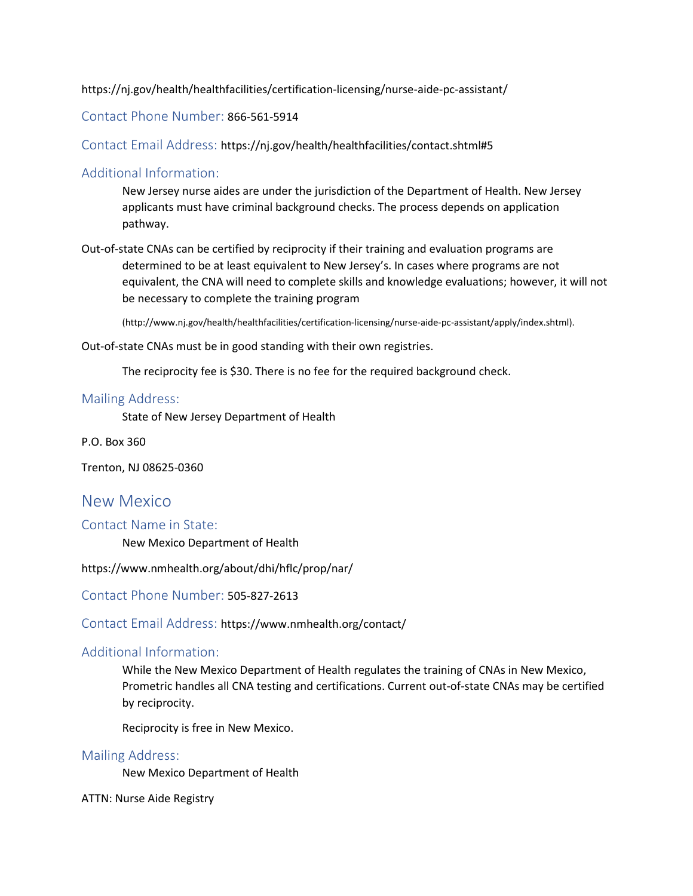https://nj.gov/health/healthfacilities/certification-licensing/nurse-aide-pc-assistant/

Contact Phone Number: 866-561-5914

Contact Email Address: https://nj.gov/health/healthfacilities/contact.shtml#5

#### Additional Information:

New Jersey nurse aides are under the jurisdiction of the Department of Health. New Jersey applicants must have criminal background checks. The process depends on application pathway.

Out-of-state CNAs can be certified by reciprocity if their training and evaluation programs are determined to be at least equivalent to New Jersey's. In cases where programs are not equivalent, the CNA will need to complete skills and knowledge evaluations; however, it will not be necessary to complete the training program

(http://www.nj.gov/health/healthfacilities/certification-licensing/nurse-aide-pc-assistant/apply/index.shtml).

Out-of-state CNAs must be in good standing with their own registries.

The reciprocity fee is \$30. There is no fee for the required background check.

#### Mailing Address:

State of New Jersey Department of Health

P.O. Box 360

Trenton, NJ 08625-0360

### New Mexico

Contact Name in State:

New Mexico Department of Health

https://www.nmhealth.org/about/dhi/hflc/prop/nar/

Contact Phone Number: 505-827-2613

Contact Email Address: https://www.nmhealth.org/contact/

#### Additional Information:

While the New Mexico Department of Health regulates the training of CNAs in New Mexico, Prometric handles all CNA testing and certifications. Current out-of-state CNAs may be certified by reciprocity.

Reciprocity is free in New Mexico.

#### Mailing Address:

New Mexico Department of Health

ATTN: Nurse Aide Registry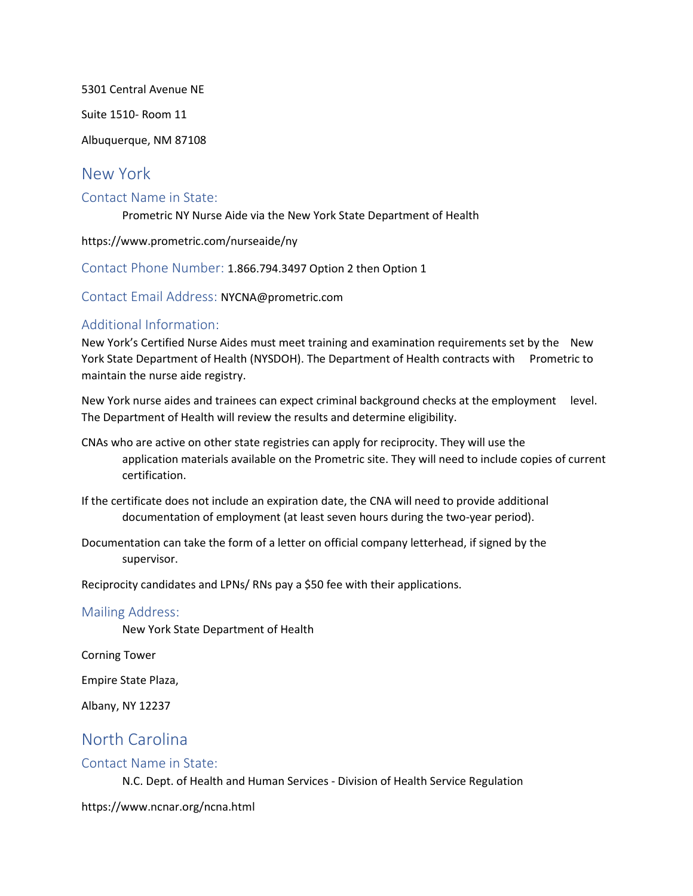5301 Central Avenue NE

Suite 1510- Room 11

Albuquerque, NM 87108

## New York

#### Contact Name in State:

Prometric NY Nurse Aide via the New York State Department of Health

https://www.prometric.com/nurseaide/ny

Contact Phone Number: 1.866.794.3497 Option 2 then Option 1

Contact Email Address: NYCNA@prometric.com

### Additional Information:

New York's Certified Nurse Aides must meet training and examination requirements set by the New York State Department of Health (NYSDOH). The Department of Health contracts with Prometric to maintain the nurse aide registry.

New York nurse aides and trainees can expect criminal background checks at the employment level. The Department of Health will review the results and determine eligibility.

CNAs who are active on other state registries can apply for reciprocity. They will use the application materials available on the Prometric site. They will need to include copies of current certification.

If the certificate does not include an expiration date, the CNA will need to provide additional documentation of employment (at least seven hours during the two-year period).

Documentation can take the form of a letter on official company letterhead, if signed by the supervisor.

Reciprocity candidates and LPNs/ RNs pay a \$50 fee with their applications.

#### Mailing Address:

New York State Department of Health

Corning Tower

Empire State Plaza,

Albany, NY 12237

# North Carolina

#### Contact Name in State:

N.C. Dept. of Health and Human Services - Division of Health Service Regulation

https://www.ncnar.org/ncna.html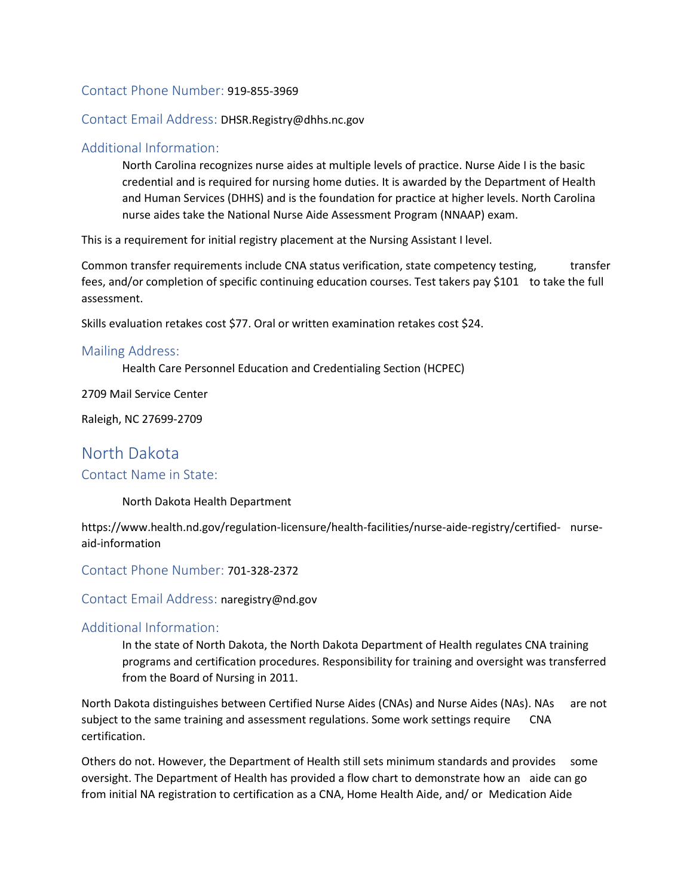#### Contact Phone Number: 919-855-3969

#### Contact Email Address: DHSR.Registry@dhhs.nc.gov

#### Additional Information:

North Carolina recognizes nurse aides at multiple levels of practice. Nurse Aide I is the basic credential and is required for nursing home duties. It is awarded by the Department of Health and Human Services (DHHS) and is the foundation for practice at higher levels. North Carolina nurse aides take the National Nurse Aide Assessment Program (NNAAP) exam.

This is a requirement for initial registry placement at the Nursing Assistant I level.

Common transfer requirements include CNA status verification, state competency testing, transfer fees, and/or completion of specific continuing education courses. Test takers pay \$101 to take the full assessment.

Skills evaluation retakes cost \$77. Oral or written examination retakes cost \$24.

#### Mailing Address:

Health Care Personnel Education and Credentialing Section (HCPEC)

2709 Mail Service Center

Raleigh, NC 27699-2709

# North Dakota

#### Contact Name in State:

North Dakota Health Department

https://www.health.nd.gov/regulation-licensure/health-facilities/nurse-aide-registry/certified- nurseaid-information

Contact Phone Number: 701-328-2372

Contact Email Address: naregistry@nd.gov

#### Additional Information:

In the state of North Dakota, the North Dakota Department of Health regulates CNA training programs and certification procedures. Responsibility for training and oversight was transferred from the Board of Nursing in 2011.

North Dakota distinguishes between Certified Nurse Aides (CNAs) and Nurse Aides (NAs). NAs are not subject to the same training and assessment regulations. Some work settings require CNA certification.

Others do not. However, the Department of Health still sets minimum standards and provides some oversight. The Department of Health has provided a flow chart to demonstrate how an aide can go from initial NA registration to certification as a CNA, Home Health Aide, and/ or Medication Aide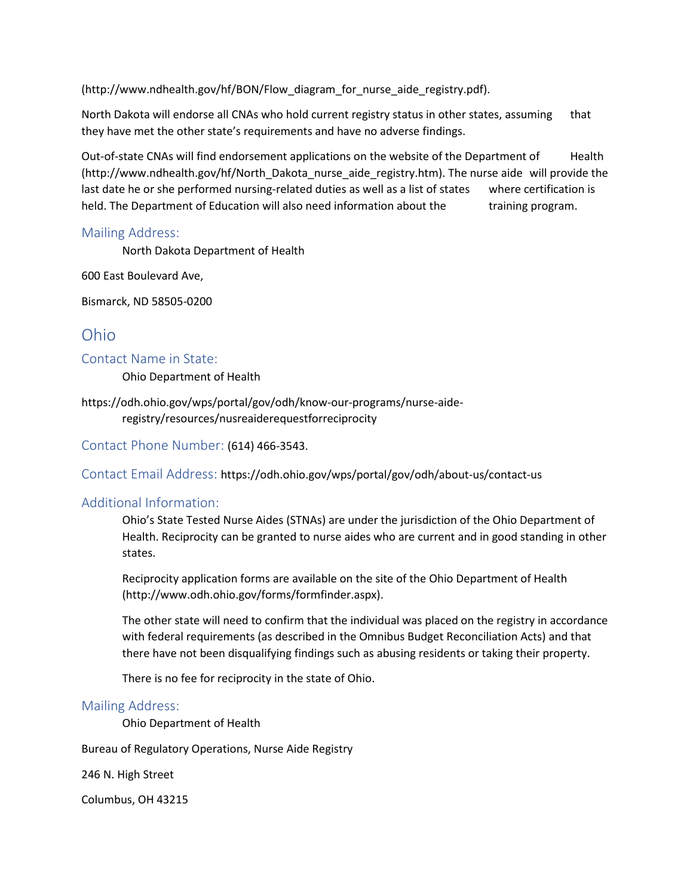(http://www.ndhealth.gov/hf/BON/Flow\_diagram\_for\_nurse\_aide\_registry.pdf).

North Dakota will endorse all CNAs who hold current registry status in other states, assuming that they have met the other state's requirements and have no adverse findings.

Out-of-state CNAs will find endorsement applications on the website of the Department of Health (http://www.ndhealth.gov/hf/North\_Dakota\_nurse\_aide\_registry.htm). The nurse aide will provide the last date he or she performed nursing-related duties as well as a list of states where certification is held. The Department of Education will also need information about the training program.

#### Mailing Address:

North Dakota Department of Health

600 East Boulevard Ave,

Bismarck, ND 58505-0200

# Ohio

Contact Name in State:

Ohio Department of Health

https://odh.ohio.gov/wps/portal/gov/odh/know-our-programs/nurse-aideregistry/resources/nusreaiderequestforreciprocity

Contact Phone Number: (614) 466-3543.

Contact Email Address: https://odh.ohio.gov/wps/portal/gov/odh/about-us/contact-us

#### Additional Information:

Ohio's State Tested Nurse Aides (STNAs) are under the jurisdiction of the Ohio Department of Health. Reciprocity can be granted to nurse aides who are current and in good standing in other states.

Reciprocity application forms are available on the site of the Ohio Department of Health (http://www.odh.ohio.gov/forms/formfinder.aspx).

The other state will need to confirm that the individual was placed on the registry in accordance with federal requirements (as described in the Omnibus Budget Reconciliation Acts) and that there have not been disqualifying findings such as abusing residents or taking their property.

There is no fee for reciprocity in the state of Ohio.

#### Mailing Address:

Ohio Department of Health

Bureau of Regulatory Operations, Nurse Aide Registry

246 N. High Street

Columbus, OH 43215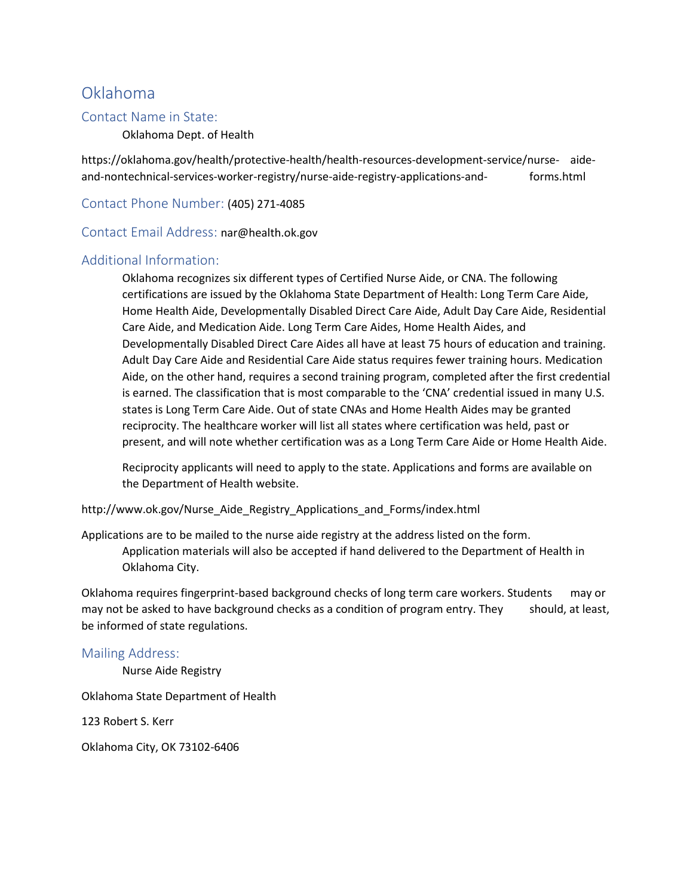# Oklahoma

#### Contact Name in State:

Oklahoma Dept. of Health

https://oklahoma.gov/health/protective-health/health-resources-development-service/nurse- aideand-nontechnical-services-worker-registry/nurse-aide-registry-applications-and- forms.html

Contact Phone Number: (405) 271-4085

Contact Email Address: nar@health.ok.gov

#### Additional Information:

Oklahoma recognizes six different types of Certified Nurse Aide, or CNA. The following certifications are issued by the Oklahoma State Department of Health: Long Term Care Aide, Home Health Aide, Developmentally Disabled Direct Care Aide, Adult Day Care Aide, Residential Care Aide, and Medication Aide. Long Term Care Aides, Home Health Aides, and Developmentally Disabled Direct Care Aides all have at least 75 hours of education and training. Adult Day Care Aide and Residential Care Aide status requires fewer training hours. Medication Aide, on the other hand, requires a second training program, completed after the first credential is earned. The classification that is most comparable to the 'CNA' credential issued in many U.S. states is Long Term Care Aide. Out of state CNAs and Home Health Aides may be granted reciprocity. The healthcare worker will list all states where certification was held, past or present, and will note whether certification was as a Long Term Care Aide or Home Health Aide.

Reciprocity applicants will need to apply to the state. Applications and forms are available on the Department of Health website.

http://www.ok.gov/Nurse\_Aide\_Registry\_Applications\_and\_Forms/index.html

Applications are to be mailed to the nurse aide registry at the address listed on the form. Application materials will also be accepted if hand delivered to the Department of Health in Oklahoma City.

Oklahoma requires fingerprint-based background checks of long term care workers. Students may or may not be asked to have background checks as a condition of program entry. They should, at least, be informed of state regulations.

#### Mailing Address:

Nurse Aide Registry

Oklahoma State Department of Health

123 Robert S. Kerr

Oklahoma City, OK 73102-6406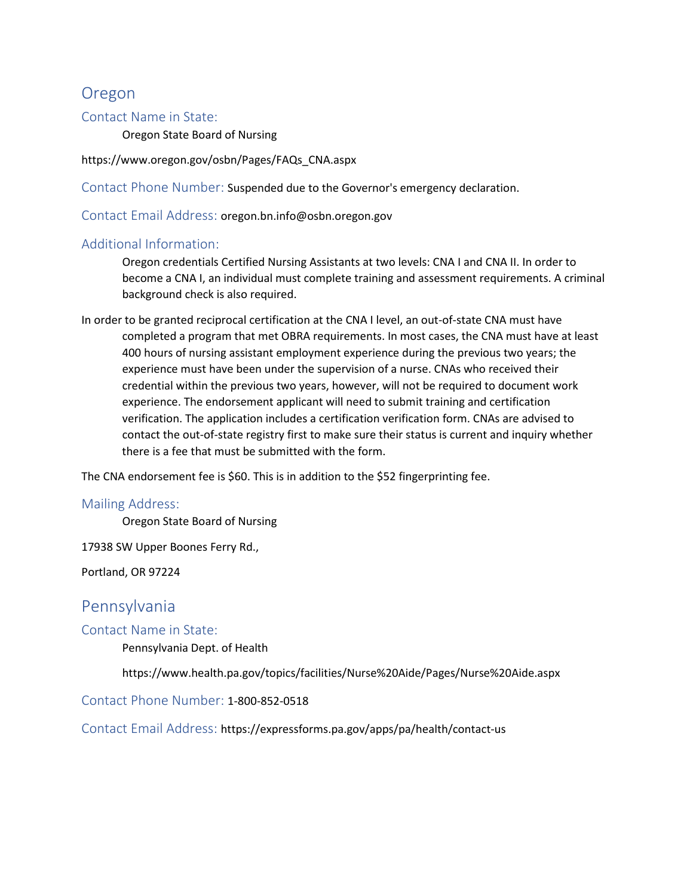# Oregon

#### Contact Name in State:

Oregon State Board of Nursing

https://www.oregon.gov/osbn/Pages/FAQs\_CNA.aspx

Contact Phone Number: Suspended due to the Governor's emergency declaration.

Contact Email Address: oregon.bn.info@osbn.oregon.gov

#### Additional Information:

Oregon credentials Certified Nursing Assistants at two levels: CNA I and CNA II. In order to become a CNA I, an individual must complete training and assessment requirements. A criminal background check is also required.

In order to be granted reciprocal certification at the CNA I level, an out-of-state CNA must have completed a program that met OBRA requirements. In most cases, the CNA must have at least 400 hours of nursing assistant employment experience during the previous two years; the experience must have been under the supervision of a nurse. CNAs who received their credential within the previous two years, however, will not be required to document work experience. The endorsement applicant will need to submit training and certification verification. The application includes a certification verification form. CNAs are advised to contact the out-of-state registry first to make sure their status is current and inquiry whether there is a fee that must be submitted with the form.

The CNA endorsement fee is \$60. This is in addition to the \$52 fingerprinting fee.

#### Mailing Address:

Oregon State Board of Nursing

17938 SW Upper Boones Ferry Rd.,

Portland, OR 97224

# Pennsylvania

Contact Name in State:

Pennsylvania Dept. of Health

https://www.health.pa.gov/topics/facilities/Nurse%20Aide/Pages/Nurse%20Aide.aspx

Contact Phone Number: 1-800-852-0518

Contact Email Address: https://expressforms.pa.gov/apps/pa/health/contact-us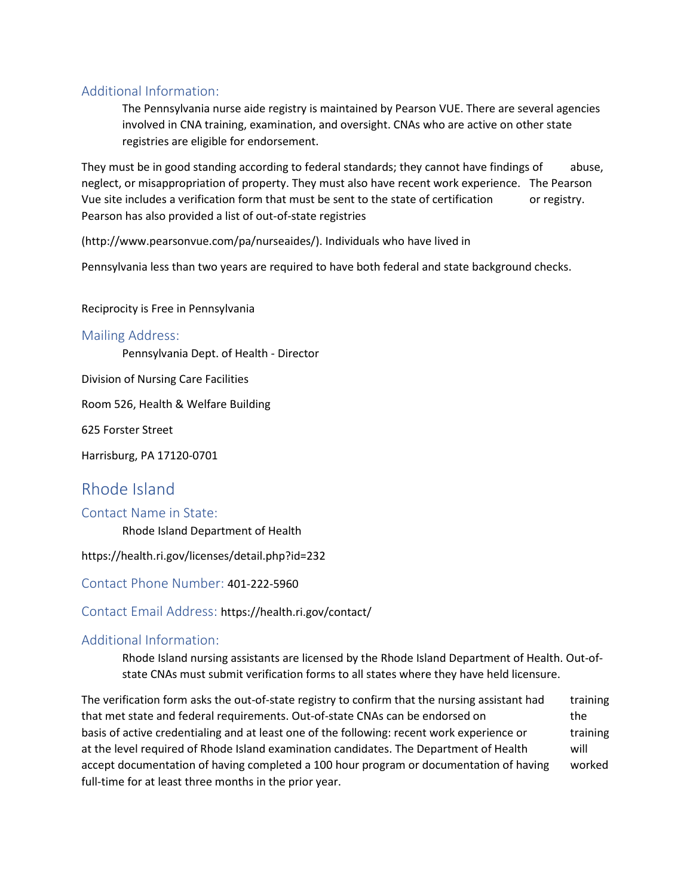### Additional Information:

The Pennsylvania nurse aide registry is maintained by Pearson VUE. There are several agencies involved in CNA training, examination, and oversight. CNAs who are active on other state registries are eligible for endorsement.

They must be in good standing according to federal standards; they cannot have findings of abuse, neglect, or misappropriation of property. They must also have recent work experience. The Pearson Vue site includes a verification form that must be sent to the state of certification or registry. Pearson has also provided a list of out-of-state registries

(http://www.pearsonvue.com/pa/nurseaides/). Individuals who have lived in

Pennsylvania less than two years are required to have both federal and state background checks.

Reciprocity is Free in Pennsylvania

#### Mailing Address:

Pennsylvania Dept. of Health - Director

Division of Nursing Care Facilities

Room 526, Health & Welfare Building

625 Forster Street

Harrisburg, PA 17120-0701

# Rhode Island

#### Contact Name in State:

Rhode Island Department of Health

https://health.ri.gov/licenses/detail.php?id=232

Contact Phone Number: 401-222-5960

Contact Email Address: https://health.ri.gov/contact/

#### Additional Information:

Rhode Island nursing assistants are licensed by the Rhode Island Department of Health. Out-ofstate CNAs must submit verification forms to all states where they have held licensure.

The verification form asks the out-of-state registry to confirm that the nursing assistant had training that met state and federal requirements. Out-of-state CNAs can be endorsed on the basis of active credentialing and at least one of the following: recent work experience or training at the level required of Rhode Island examination candidates. The Department of Health will accept documentation of having completed a 100 hour program or documentation of having worked full-time for at least three months in the prior year.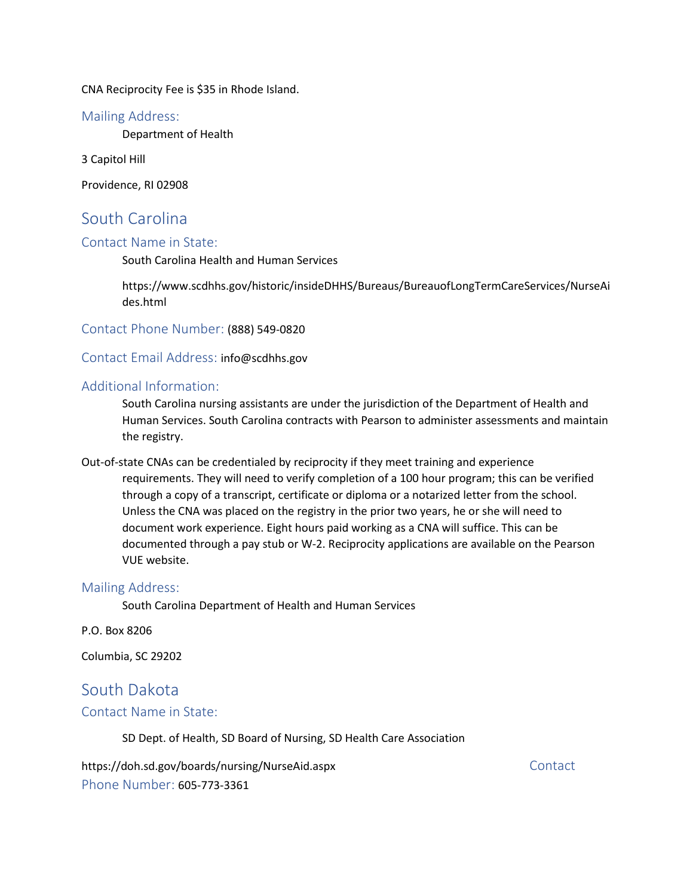CNA Reciprocity Fee is \$35 in Rhode Island.

#### Mailing Address:

Department of Health

3 Capitol Hill

Providence, RI 02908

# South Carolina

#### Contact Name in State:

South Carolina Health and Human Services

https://www.scdhhs.gov/historic/insideDHHS/Bureaus/BureauofLongTermCareServices/NurseAi des.html

Contact Phone Number: (888) 549-0820

Contact Email Address: info@scdhhs.gov

#### Additional Information:

South Carolina nursing assistants are under the jurisdiction of the Department of Health and Human Services. South Carolina contracts with Pearson to administer assessments and maintain the registry.

Out-of-state CNAs can be credentialed by reciprocity if they meet training and experience requirements. They will need to verify completion of a 100 hour program; this can be verified through a copy of a transcript, certificate or diploma or a notarized letter from the school. Unless the CNA was placed on the registry in the prior two years, he or she will need to document work experience. Eight hours paid working as a CNA will suffice. This can be documented through a pay stub or W-2. Reciprocity applications are available on the Pearson VUE website.

#### Mailing Address:

South Carolina Department of Health and Human Services

P.O. Box 8206

Columbia, SC 29202

# South Dakota

#### Contact Name in State:

SD Dept. of Health, SD Board of Nursing, SD Health Care Association

https://doh.sd.gov/boards/nursing/NurseAid.aspx contact Phone Number: 605-773-3361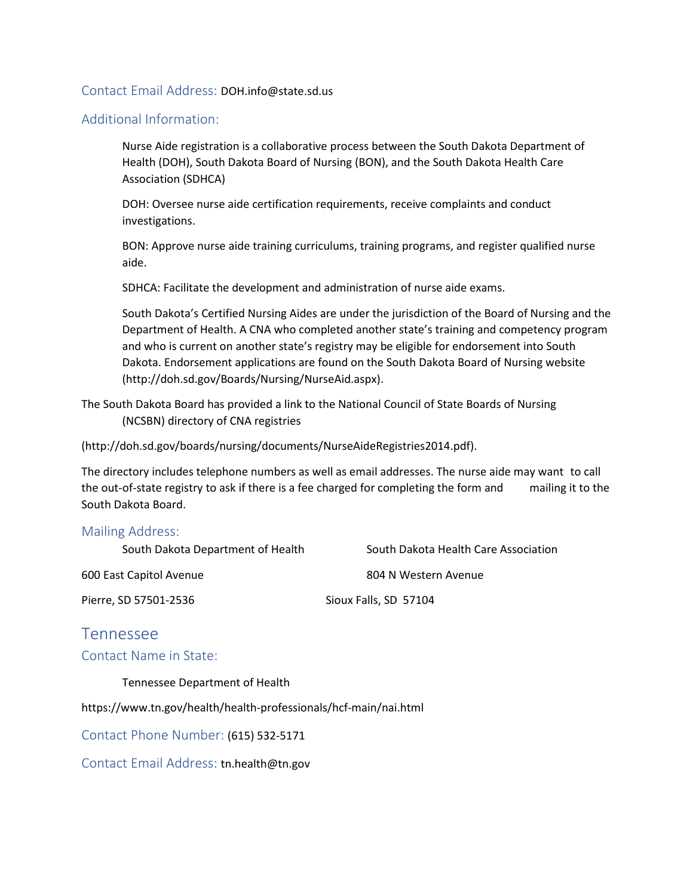#### Contact Email Address: DOH.info@state.sd.us

#### Additional Information:

Nurse Aide registration is a collaborative process between the South Dakota Department of Health (DOH), South Dakota Board of Nursing (BON), and the South Dakota Health Care Association (SDHCA)

DOH: Oversee nurse aide certification requirements, receive complaints and conduct investigations.

BON: Approve nurse aide training curriculums, training programs, and register qualified nurse aide.

SDHCA: Facilitate the development and administration of nurse aide exams.

South Dakota's Certified Nursing Aides are under the jurisdiction of the Board of Nursing and the Department of Health. A CNA who completed another state's training and competency program and who is current on another state's registry may be eligible for endorsement into South Dakota. Endorsement applications are found on the South Dakota Board of Nursing website (http://doh.sd.gov/Boards/Nursing/NurseAid.aspx).

The South Dakota Board has provided a link to the National Council of State Boards of Nursing (NCSBN) directory of CNA registries

(http://doh.sd.gov/boards/nursing/documents/NurseAideRegistries2014.pdf).

The directory includes telephone numbers as well as email addresses. The nurse aide may want to call the out-of-state registry to ask if there is a fee charged for completing the form and mailing it to the South Dakota Board.

#### Mailing Address:

| South Dakota Department of Health | South Dakota Health Care Association |
|-----------------------------------|--------------------------------------|
| 600 East Capitol Avenue           | 804 N Western Avenue                 |
| Pierre, SD 57501-2536             | Sioux Falls, SD 57104                |
| Tennessee                         |                                      |

#### Contact Name in State:

Tennessee Department of Health

https://www.tn.gov/health/health-professionals/hcf-main/nai.html

Contact Phone Number: (615) 532-5171

Contact Email Address: tn.health@tn.gov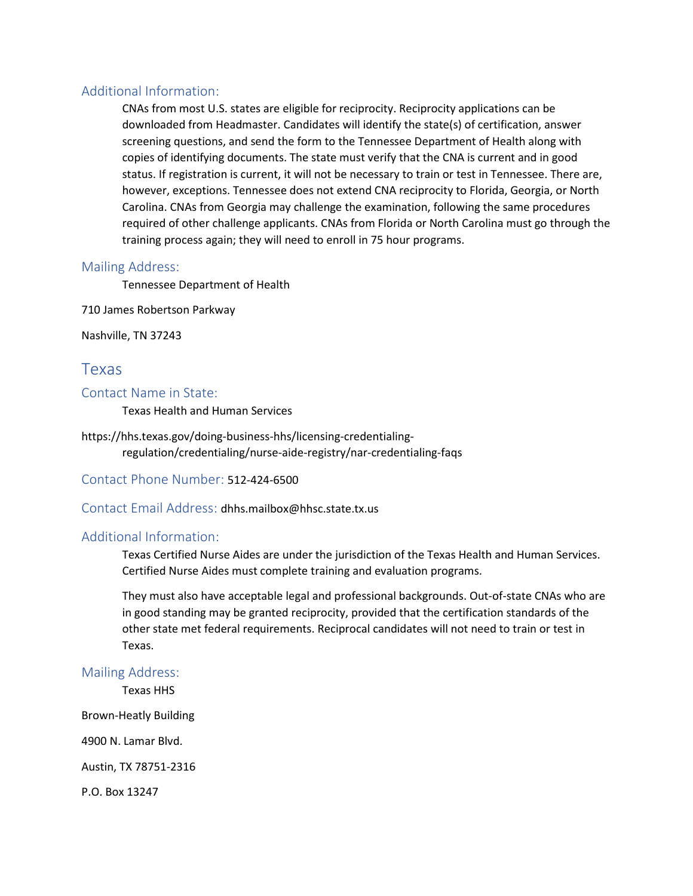#### Additional Information:

CNAs from most U.S. states are eligible for reciprocity. Reciprocity applications can be downloaded from Headmaster. Candidates will identify the state(s) of certification, answer screening questions, and send the form to the Tennessee Department of Health along with copies of identifying documents. The state must verify that the CNA is current and in good status. If registration is current, it will not be necessary to train or test in Tennessee. There are, however, exceptions. Tennessee does not extend CNA reciprocity to Florida, Georgia, or North Carolina. CNAs from Georgia may challenge the examination, following the same procedures required of other challenge applicants. CNAs from Florida or North Carolina must go through the training process again; they will need to enroll in 75 hour programs.

#### Mailing Address:

Tennessee Department of Health

710 James Robertson Parkway

Nashville, TN 37243

### Texas

#### Contact Name in State:

Texas Health and Human Services

https://hhs.texas.gov/doing-business-hhs/licensing-credentialingregulation/credentialing/nurse-aide-registry/nar-credentialing-faqs

Contact Phone Number: 512-424-6500

Contact Email Address: dhhs.mailbox@hhsc.state.tx.us

#### Additional Information:

Texas Certified Nurse Aides are under the jurisdiction of the Texas Health and Human Services. Certified Nurse Aides must complete training and evaluation programs.

They must also have acceptable legal and professional backgrounds. Out-of-state CNAs who are in good standing may be granted reciprocity, provided that the certification standards of the other state met federal requirements. Reciprocal candidates will not need to train or test in Texas.

#### Mailing Address:

Texas HHS

Brown-Heatly Building

4900 N. Lamar Blvd.

Austin, TX 78751-2316

P.O. Box 13247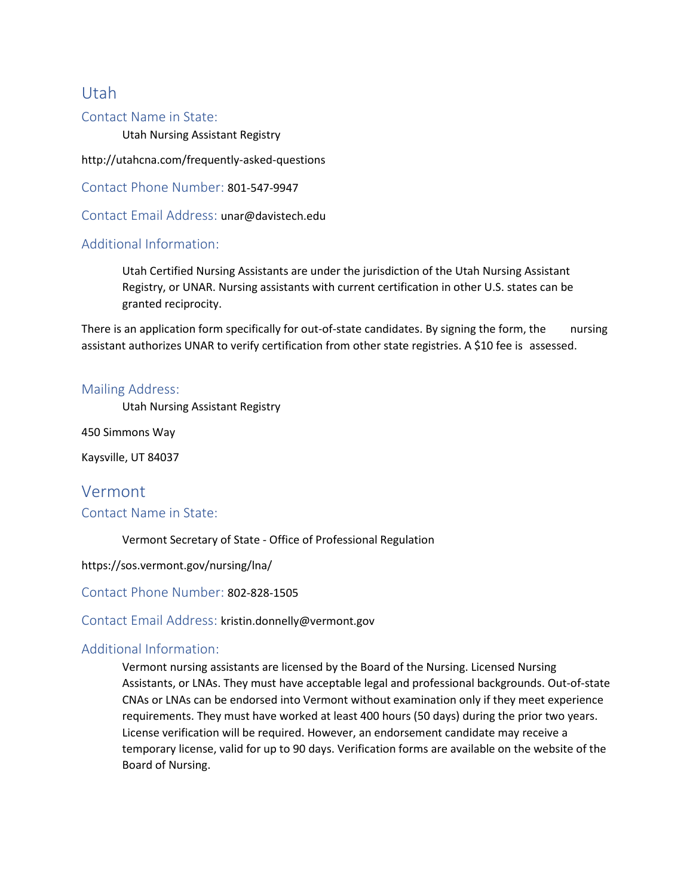# Utah

#### Contact Name in State:

Utah Nursing Assistant Registry

http://utahcna.com/frequently-asked-questions

Contact Phone Number: 801-547-9947

Contact Email Address: unar@davistech.edu

#### Additional Information:

Utah Certified Nursing Assistants are under the jurisdiction of the Utah Nursing Assistant Registry, or UNAR. Nursing assistants with current certification in other U.S. states can be granted reciprocity.

There is an application form specifically for out-of-state candidates. By signing the form, the nursing assistant authorizes UNAR to verify certification from other state registries. A \$10 fee is assessed.

#### Mailing Address:

Utah Nursing Assistant Registry

450 Simmons Way

Kaysville, UT 84037

# Vermont Contact Name in State:

Vermont Secretary of State - Office of Professional Regulation

https://sos.vermont.gov/nursing/lna/

Contact Phone Number: 802-828-1505

Contact Email Address: kristin.donnelly@vermont.gov

#### Additional Information:

Vermont nursing assistants are licensed by the Board of the Nursing. Licensed Nursing Assistants, or LNAs. They must have acceptable legal and professional backgrounds. Out-of-state CNAs or LNAs can be endorsed into Vermont without examination only if they meet experience requirements. They must have worked at least 400 hours (50 days) during the prior two years. License verification will be required. However, an endorsement candidate may receive a temporary license, valid for up to 90 days. Verification forms are available on the website of the Board of Nursing.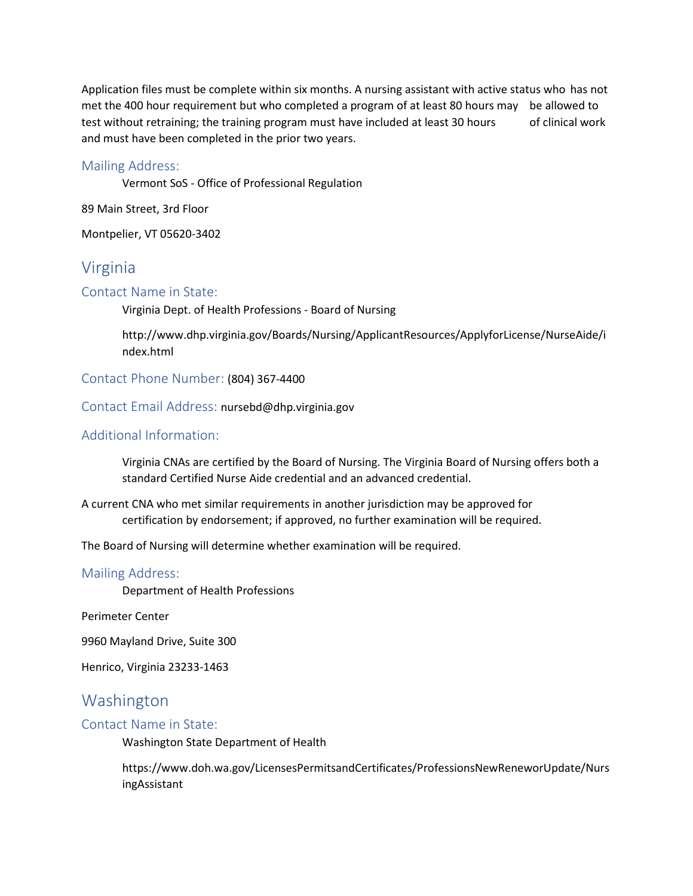Application files must be complete within six months. A nursing assistant with active status who has not met the 400 hour requirement but who completed a program of at least 80 hours may be allowed to test without retraining; the training program must have included at least 30 hours of clinical work and must have been completed in the prior two years.

#### Mailing Address:

Vermont SoS - Office of Professional Regulation

89 Main Street, 3rd Floor

Montpelier, VT 05620-3402

### Virginia

#### Contact Name in State:

Virginia Dept. of Health Professions - Board of Nursing

http://www.dhp.virginia.gov/Boards/Nursing/ApplicantResources/ApplyforLicense/NurseAide/i ndex.html

Contact Phone Number: (804) 367-4400

Contact Email Address: nursebd@dhp.virginia.gov

#### Additional Information:

Virginia CNAs are certified by the Board of Nursing. The Virginia Board of Nursing offers both a standard Certified Nurse Aide credential and an advanced credential.

A current CNA who met similar requirements in another jurisdiction may be approved for certification by endorsement; if approved, no further examination will be required.

The Board of Nursing will determine whether examination will be required.

#### Mailing Address:

Department of Health Professions

Perimeter Center

9960 Mayland Drive, Suite 300

Henrico, Virginia 23233-1463

# Washington

#### Contact Name in State:

Washington State Department of Health

https://www.doh.wa.gov/LicensesPermitsandCertificates/ProfessionsNewReneworUpdate/Nurs ingAssistant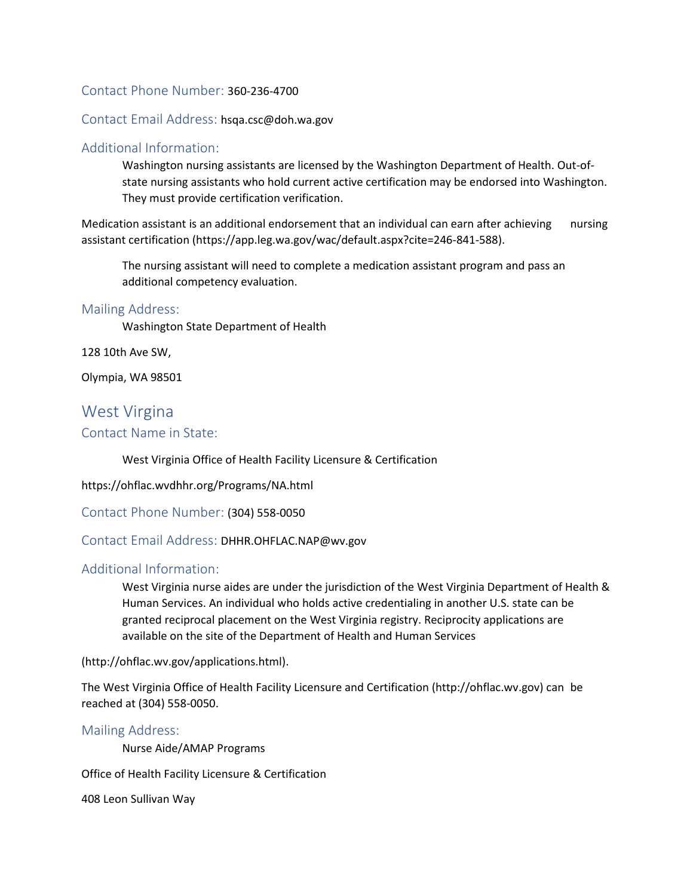#### Contact Phone Number: 360-236-4700

#### Contact Email Address: hsqa.csc@doh.wa.gov

#### Additional Information:

Washington nursing assistants are licensed by the Washington Department of Health. Out-ofstate nursing assistants who hold current active certification may be endorsed into Washington. They must provide certification verification.

Medication assistant is an additional endorsement that an individual can earn after achieving nursing assistant certification (https://app.leg.wa.gov/wac/default.aspx?cite=246-841-588).

The nursing assistant will need to complete a medication assistant program and pass an additional competency evaluation.

#### Mailing Address:

Washington State Department of Health

128 10th Ave SW,

Olympia, WA 98501

# West Virgina Contact Name in State:

West Virginia Office of Health Facility Licensure & Certification

https://ohflac.wvdhhr.org/Programs/NA.html

Contact Phone Number: (304) 558-0050

Contact Email Address: DHHR.OHFLAC.NAP@wv.gov

#### Additional Information:

West Virginia nurse aides are under the jurisdiction of the West Virginia Department of Health & Human Services. An individual who holds active credentialing in another U.S. state can be granted reciprocal placement on the West Virginia registry. Reciprocity applications are available on the site of the Department of Health and Human Services

(http://ohflac.wv.gov/applications.html).

The West Virginia Office of Health Facility Licensure and Certification (http://ohflac.wv.gov) can be reached at (304) 558-0050.

#### Mailing Address:

Nurse Aide/AMAP Programs

Office of Health Facility Licensure & Certification

408 Leon Sullivan Way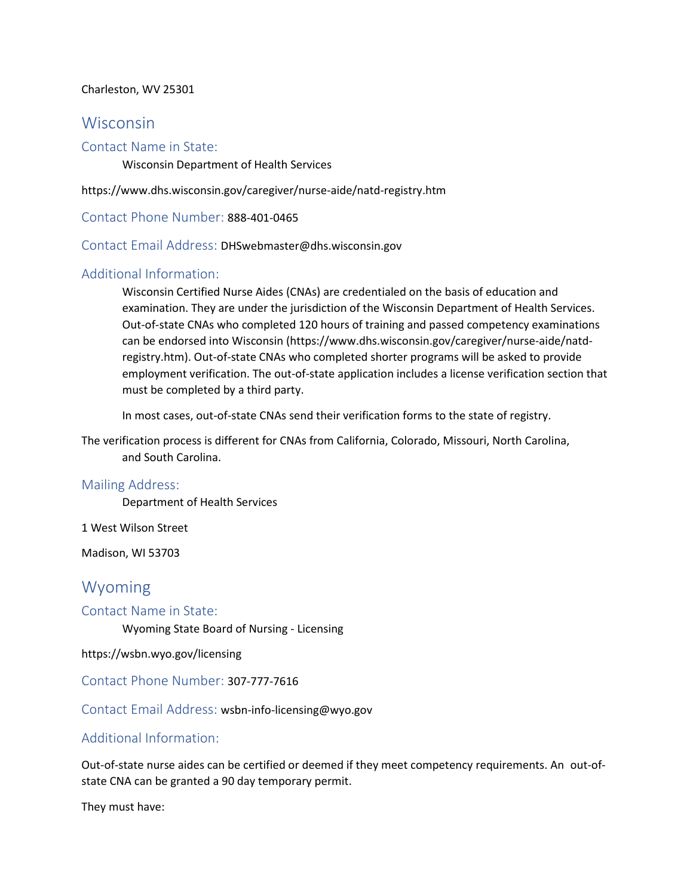#### Charleston, WV 25301

### Wisconsin

#### Contact Name in State:

Wisconsin Department of Health Services

https://www.dhs.wisconsin.gov/caregiver/nurse-aide/natd-registry.htm

Contact Phone Number: 888-401-0465

Contact Email Address: DHSwebmaster@dhs.wisconsin.gov

### Additional Information:

Wisconsin Certified Nurse Aides (CNAs) are credentialed on the basis of education and examination. They are under the jurisdiction of the Wisconsin Department of Health Services. Out-of-state CNAs who completed 120 hours of training and passed competency examinations can be endorsed into Wisconsin (https://www.dhs.wisconsin.gov/caregiver/nurse-aide/natdregistry.htm). Out-of-state CNAs who completed shorter programs will be asked to provide employment verification. The out-of-state application includes a license verification section that must be completed by a third party.

In most cases, out-of-state CNAs send their verification forms to the state of registry.

The verification process is different for CNAs from California, Colorado, Missouri, North Carolina, and South Carolina.

#### Mailing Address:

Department of Health Services

1 West Wilson Street

Madison, WI 53703

# Wyoming

Contact Name in State:

Wyoming State Board of Nursing - Licensing

https://wsbn.wyo.gov/licensing

Contact Phone Number: 307-777-7616

Contact Email Address: wsbn-info-licensing@wyo.gov

Additional Information:

Out-of-state nurse aides can be certified or deemed if they meet competency requirements. An out-ofstate CNA can be granted a 90 day temporary permit.

They must have: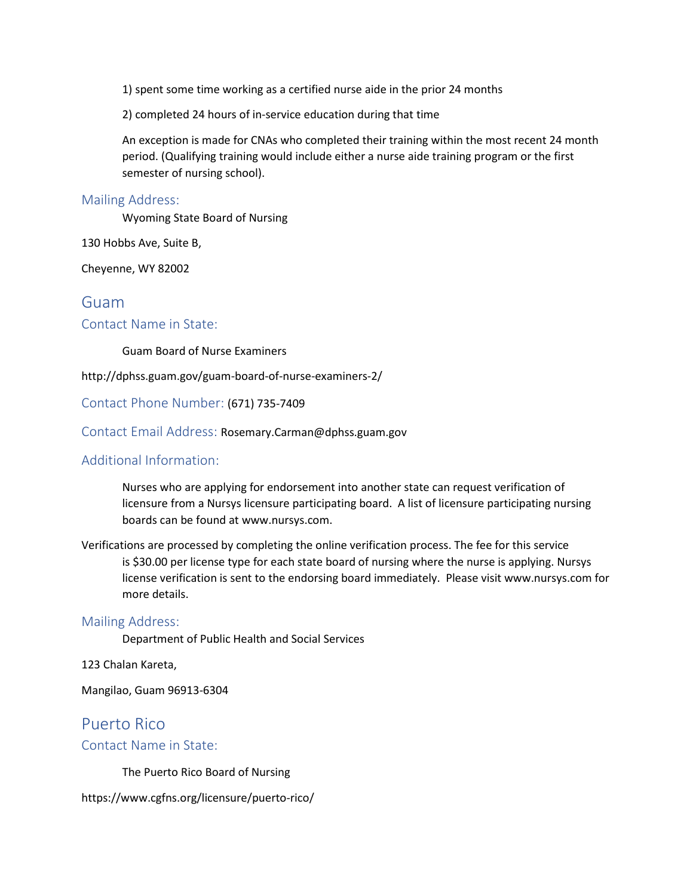1) spent some time working as a certified nurse aide in the prior 24 months

2) completed 24 hours of in-service education during that time

An exception is made for CNAs who completed their training within the most recent 24 month period. (Qualifying training would include either a nurse aide training program or the first semester of nursing school).

#### Mailing Address:

Wyoming State Board of Nursing

130 Hobbs Ave, Suite B,

Cheyenne, WY 82002

### Guam

#### Contact Name in State:

Guam Board of Nurse Examiners

http://dphss.guam.gov/guam-board-of-nurse-examiners-2/

Contact Phone Number: (671) 735-7409

Contact Email Address: Rosemary.Carman@dphss.guam.gov

#### Additional Information:

Nurses who are applying for endorsement into another state can request verification of licensure from a Nursys licensure participating board. A list of licensure participating nursing boards can be found at www.nursys.com.

Verifications are processed by completing the online verification process. The fee for this service is \$30.00 per license type for each state board of nursing where the nurse is applying. Nursys license verification is sent to the endorsing board immediately. Please visit www.nursys.com for more details.

#### Mailing Address:

Department of Public Health and Social Services

123 Chalan Kareta,

Mangilao, Guam 96913-6304

# Puerto Rico Contact Name in State:

The Puerto Rico Board of Nursing

https://www.cgfns.org/licensure/puerto-rico/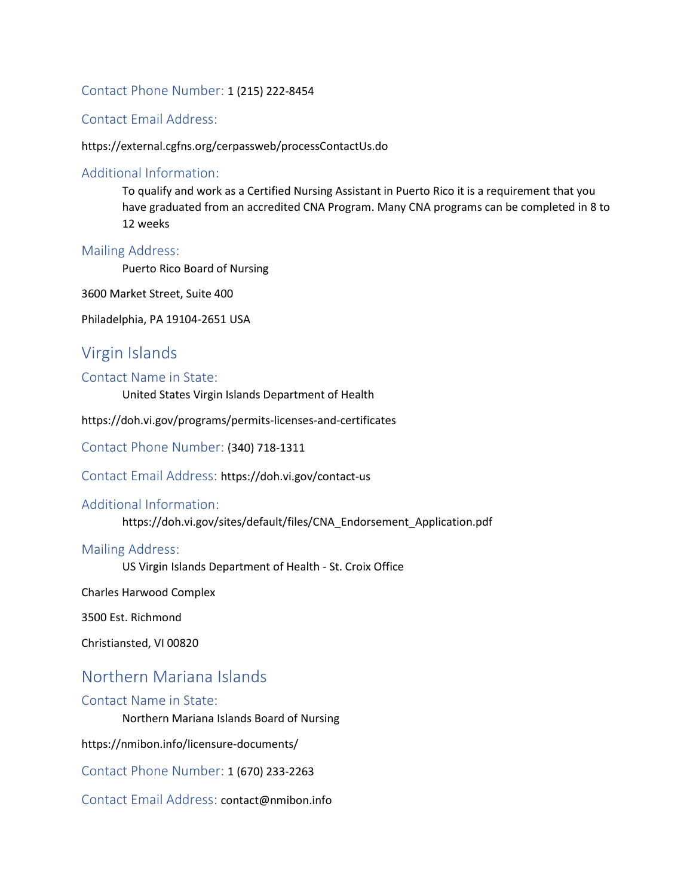#### Contact Phone Number: 1 (215) 222-8454

#### Contact Email Address:

#### https://external.cgfns.org/cerpassweb/processContactUs.do

#### Additional Information:

To qualify and work as a Certified Nursing Assistant in Puerto Rico it is a requirement that you have graduated from an accredited CNA Program. Many CNA programs can be completed in 8 to 12 weeks

#### Mailing Address:

Puerto Rico Board of Nursing

3600 Market Street, Suite 400

Philadelphia, PA 19104-2651 USA

### Virgin Islands

#### Contact Name in State:

United States Virgin Islands Department of Health

https://doh.vi.gov/programs/permits-licenses-and-certificates

Contact Phone Number: (340) 718-1311

Contact Email Address: https://doh.vi.gov/contact-us

#### Additional Information:

https://doh.vi.gov/sites/default/files/CNA\_Endorsement\_Application.pdf

#### Mailing Address:

US Virgin Islands Department of Health - St. Croix Office

Charles Harwood Complex

3500 Est. Richmond

Christiansted, VI 00820

# Northern Mariana Islands

#### Contact Name in State:

Northern Mariana Islands Board of Nursing

https://nmibon.info/licensure-documents/

Contact Phone Number: 1 (670) 233-2263

Contact Email Address: contact@nmibon.info